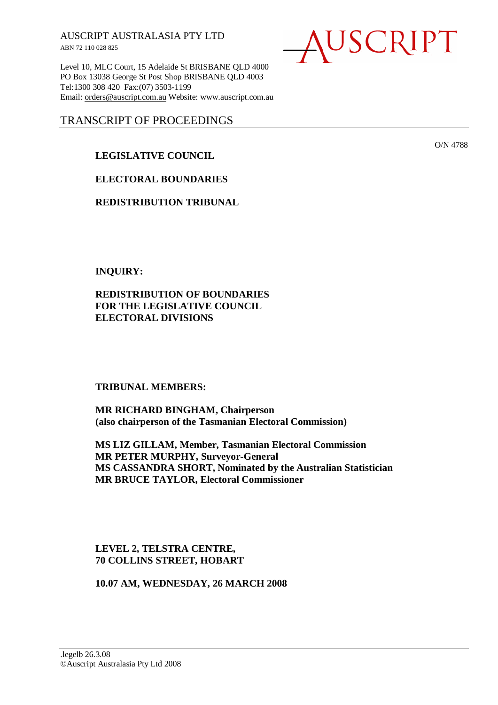AUSCRIPT AUSTRALASIA PTY LTD ABN 72 110 028 825

Level 10, MLC Court, 15 Adelaide St BRISBANE QLD 4000 PO Box 13038 George St Post Shop BRISBANE QLD 4003 Tel:1300 308 420 Fax:(07) 3503-1199 Email: orders@auscript.com.au Website: www.auscript.com.au

# TRANSCRIPT OF PROCEEDINGS

# **LEGISLATIVE COUNCIL**

**ELECTORAL BOUNDARIES** 

**REDISTRIBUTION TRIBUNAL** 

**INQUIRY:** 

**REDISTRIBUTION OF BOUNDARIES FOR THE LEGISLATIVE COUNCIL ELECTORAL DIVISIONS** 

**TRIBUNAL MEMBERS:** 

**MR RICHARD BINGHAM, Chairperson (also chairperson of the Tasmanian Electoral Commission)** 

**MS LIZ GILLAM, Member, Tasmanian Electoral Commission MR PETER MURPHY, Surveyor-General MS CASSANDRA SHORT, Nominated by the Australian Statistician MR BRUCE TAYLOR, Electoral Commissioner** 

**LEVEL 2, TELSTRA CENTRE, 70 COLLINS STREET, HOBART** 

**10.07 AM, WEDNESDAY, 26 MARCH 2008** 

USCRIPT

O/N 4788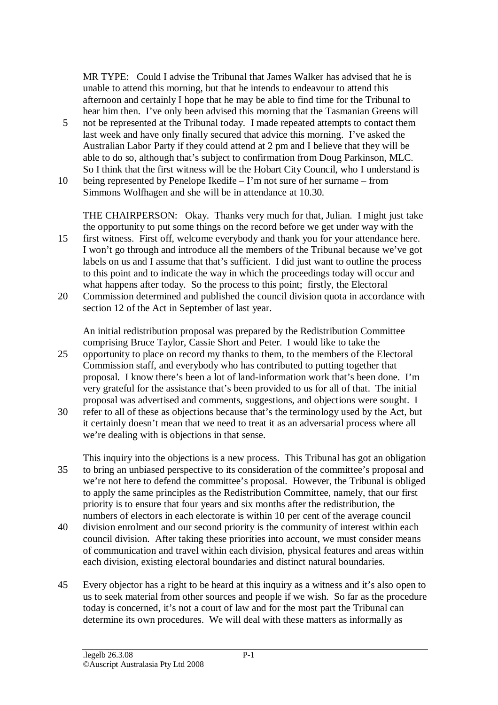MR TYPE: Could I advise the Tribunal that James Walker has advised that he is unable to attend this morning, but that he intends to endeavour to attend this afternoon and certainly I hope that he may be able to find time for the Tribunal to hear him then. I've only been advised this morning that the Tasmanian Greens will

- 5 not be represented at the Tribunal today. I made repeated attempts to contact them last week and have only finally secured that advice this morning. I've asked the Australian Labor Party if they could attend at 2 pm and I believe that they will be able to do so, although that's subject to confirmation from Doug Parkinson, MLC. So I think that the first witness will be the Hobart City Council, who I understand is
- 10 being represented by Penelope Ikedife I'm not sure of her surname from Simmons Wolfhagen and she will be in attendance at 10.30.

THE CHAIRPERSON: Okay. Thanks very much for that, Julian. I might just take the opportunity to put some things on the record before we get under way with the

- 15 first witness. First off, welcome everybody and thank you for your attendance here. I won't go through and introduce all the members of the Tribunal because we've got labels on us and I assume that that's sufficient. I did just want to outline the process to this point and to indicate the way in which the proceedings today will occur and what happens after today. So the process to this point; firstly, the Electoral
- 20 Commission determined and published the council division quota in accordance with section 12 of the Act in September of last year.

An initial redistribution proposal was prepared by the Redistribution Committee comprising Bruce Taylor, Cassie Short and Peter. I would like to take the

- 25 opportunity to place on record my thanks to them, to the members of the Electoral Commission staff, and everybody who has contributed to putting together that proposal. I know there's been a lot of land-information work that's been done. I'm very grateful for the assistance that's been provided to us for all of that. The initial proposal was advertised and comments, suggestions, and objections were sought. I
- 30 refer to all of these as objections because that's the terminology used by the Act, but it certainly doesn't mean that we need to treat it as an adversarial process where all we're dealing with is objections in that sense.
- This inquiry into the objections is a new process. This Tribunal has got an obligation 35 to bring an unbiased perspective to its consideration of the committee's proposal and we're not here to defend the committee's proposal. However, the Tribunal is obliged to apply the same principles as the Redistribution Committee, namely, that our first priority is to ensure that four years and six months after the redistribution, the numbers of electors in each electorate is within 10 per cent of the average council
- 40 division enrolment and our second priority is the community of interest within each council division. After taking these priorities into account, we must consider means of communication and travel within each division, physical features and areas within each division, existing electoral boundaries and distinct natural boundaries.
- 45 Every objector has a right to be heard at this inquiry as a witness and it's also open to us to seek material from other sources and people if we wish. So far as the procedure today is concerned, it's not a court of law and for the most part the Tribunal can determine its own procedures. We will deal with these matters as informally as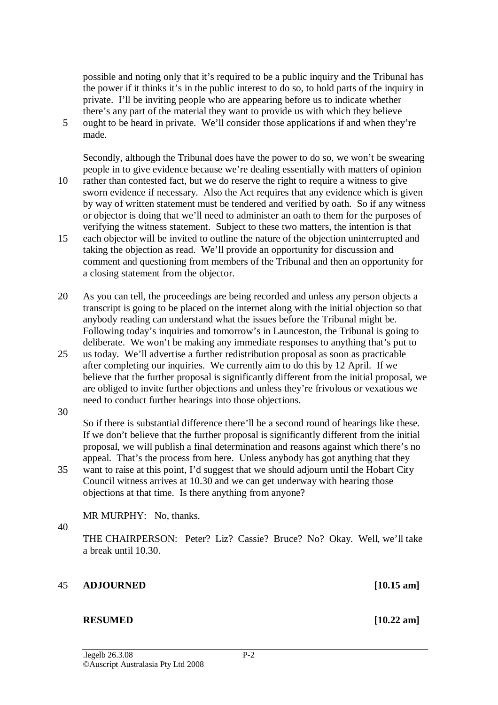possible and noting only that it's required to be a public inquiry and the Tribunal has the power if it thinks it's in the public interest to do so, to hold parts of the inquiry in private. I'll be inviting people who are appearing before us to indicate whether there's any part of the material they want to provide us with which they believe

5 ought to be heard in private. We'll consider those applications if and when they're made.

Secondly, although the Tribunal does have the power to do so, we won't be swearing people in to give evidence because we're dealing essentially with matters of opinion 10 rather than contested fact, but we do reserve the right to require a witness to give sworn evidence if necessary. Also the Act requires that any evidence which is given by way of written statement must be tendered and verified by oath. So if any witness or objector is doing that we'll need to administer an oath to them for the purposes of

- verifying the witness statement. Subject to these two matters, the intention is that 15 each objector will be invited to outline the nature of the objection uninterrupted and taking the objection as read. We'll provide an opportunity for discussion and comment and questioning from members of the Tribunal and then an opportunity for a closing statement from the objector.
- 20 As you can tell, the proceedings are being recorded and unless any person objects a transcript is going to be placed on the internet along with the initial objection so that anybody reading can understand what the issues before the Tribunal might be. Following today's inquiries and tomorrow's in Launceston, the Tribunal is going to deliberate. We won't be making any immediate responses to anything that's put to
- 25 us today. We'll advertise a further redistribution proposal as soon as practicable after completing our inquiries. We currently aim to do this by 12 April. If we believe that the further proposal is significantly different from the initial proposal, we are obliged to invite further objections and unless they're frivolous or vexatious we need to conduct further hearings into those objections.
- 30

So if there is substantial difference there'll be a second round of hearings like these. If we don't believe that the further proposal is significantly different from the initial proposal, we will publish a final determination and reasons against which there's no appeal. That's the process from here. Unless anybody has got anything that they

35 want to raise at this point, I'd suggest that we should adjourn until the Hobart City Council witness arrives at 10.30 and we can get underway with hearing those objections at that time. Is there anything from anyone?

MR MURPHY: No, thanks.

40

THE CHAIRPERSON: Peter? Liz? Cassie? Bruce? No? Okay. Well, we'll take a break until 10.30.

## 45 **ADJOURNED [10.15 am]**

## **RESUMED** [10.22 am]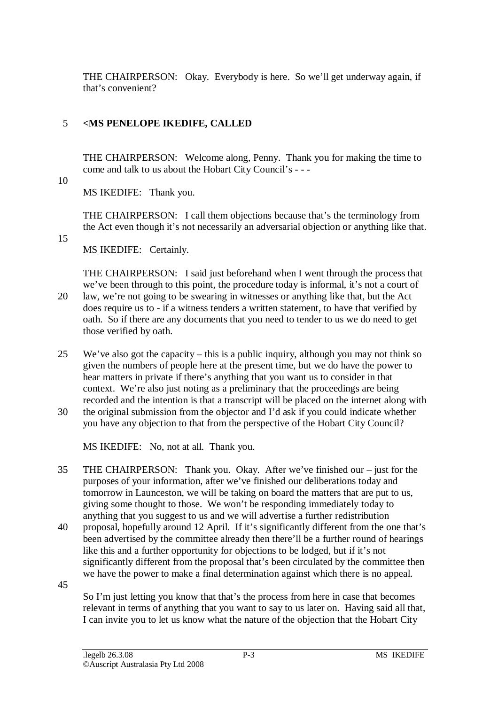THE CHAIRPERSON: Okay. Everybody is here. So we'll get underway again, if that's convenient?

# 5 **<MS PENELOPE IKEDIFE, CALLED**

THE CHAIRPERSON: Welcome along, Penny. Thank you for making the time to come and talk to us about the Hobart City Council's - - -

10

MS IKEDIFE: Thank you.

THE CHAIRPERSON: I call them objections because that's the terminology from the Act even though it's not necessarily an adversarial objection or anything like that.

15

MS IKEDIFE: Certainly.

THE CHAIRPERSON: I said just beforehand when I went through the process that we've been through to this point, the procedure today is informal, it's not a court of 20 law, we're not going to be swearing in witnesses or anything like that, but the Act does require us to - if a witness tenders a written statement, to have that verified by oath. So if there are any documents that you need to tender to us we do need to get those verified by oath.

- 25 We've also got the capacity this is a public inquiry, although you may not think so given the numbers of people here at the present time, but we do have the power to hear matters in private if there's anything that you want us to consider in that context. We're also just noting as a preliminary that the proceedings are being recorded and the intention is that a transcript will be placed on the internet along with
- 30 the original submission from the objector and I'd ask if you could indicate whether you have any objection to that from the perspective of the Hobart City Council?

MS IKEDIFE: No, not at all. Thank you.

- 35 THE CHAIRPERSON: Thank you. Okay. After we've finished our just for the purposes of your information, after we've finished our deliberations today and tomorrow in Launceston, we will be taking on board the matters that are put to us, giving some thought to those. We won't be responding immediately today to anything that you suggest to us and we will advertise a further redistribution
- 40 proposal, hopefully around 12 April. If it's significantly different from the one that's been advertised by the committee already then there'll be a further round of hearings like this and a further opportunity for objections to be lodged, but if it's not significantly different from the proposal that's been circulated by the committee then we have the power to make a final determination against which there is no appeal.

45

So I'm just letting you know that that's the process from here in case that becomes relevant in terms of anything that you want to say to us later on. Having said all that, I can invite you to let us know what the nature of the objection that the Hobart City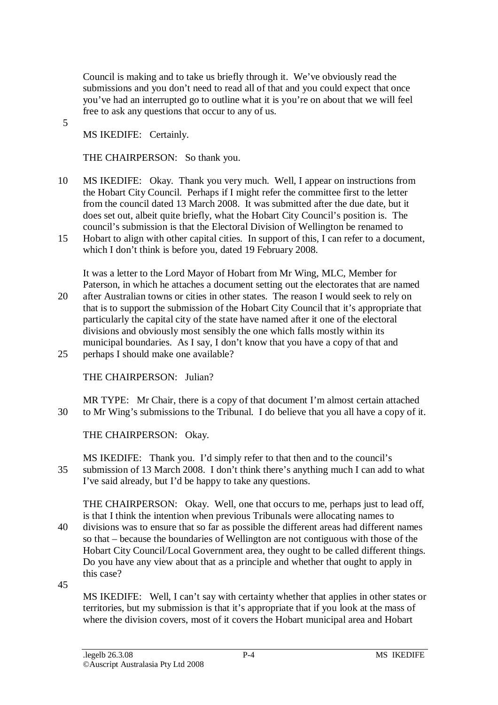Council is making and to take us briefly through it. We've obviously read the submissions and you don't need to read all of that and you could expect that once you've had an interrupted go to outline what it is you're on about that we will feel free to ask any questions that occur to any of us.

5

MS IKEDIFE: Certainly.

THE CHAIRPERSON: So thank you.

- 10 MS IKEDIFE: Okay. Thank you very much. Well, I appear on instructions from the Hobart City Council. Perhaps if I might refer the committee first to the letter from the council dated 13 March 2008. It was submitted after the due date, but it does set out, albeit quite briefly, what the Hobart City Council's position is. The council's submission is that the Electoral Division of Wellington be renamed to
- 15 Hobart to align with other capital cities. In support of this, I can refer to a document, which I don't think is before you, dated 19 February 2008.

It was a letter to the Lord Mayor of Hobart from Mr Wing, MLC, Member for Paterson, in which he attaches a document setting out the electorates that are named 20 after Australian towns or cities in other states. The reason I would seek to rely on

that is to support the submission of the Hobart City Council that it's appropriate that particularly the capital city of the state have named after it one of the electoral divisions and obviously most sensibly the one which falls mostly within its municipal boundaries. As I say, I don't know that you have a copy of that and 25 perhaps I should make one available?

THE CHAIRPERSON: Julian?

MR TYPE: Mr Chair, there is a copy of that document I'm almost certain attached 30 to Mr Wing's submissions to the Tribunal. I do believe that you all have a copy of it.

THE CHAIRPERSON: Okay.

MS IKEDIFE: Thank you. I'd simply refer to that then and to the council's 35 submission of 13 March 2008. I don't think there's anything much I can add to what I've said already, but I'd be happy to take any questions.

THE CHAIRPERSON: Okay. Well, one that occurs to me, perhaps just to lead off, is that I think the intention when previous Tribunals were allocating names to

- 40 divisions was to ensure that so far as possible the different areas had different names so that – because the boundaries of Wellington are not contiguous with those of the Hobart City Council/Local Government area, they ought to be called different things. Do you have any view about that as a principle and whether that ought to apply in this case?
- 45

MS IKEDIFE: Well, I can't say with certainty whether that applies in other states or territories, but my submission is that it's appropriate that if you look at the mass of where the division covers, most of it covers the Hobart municipal area and Hobart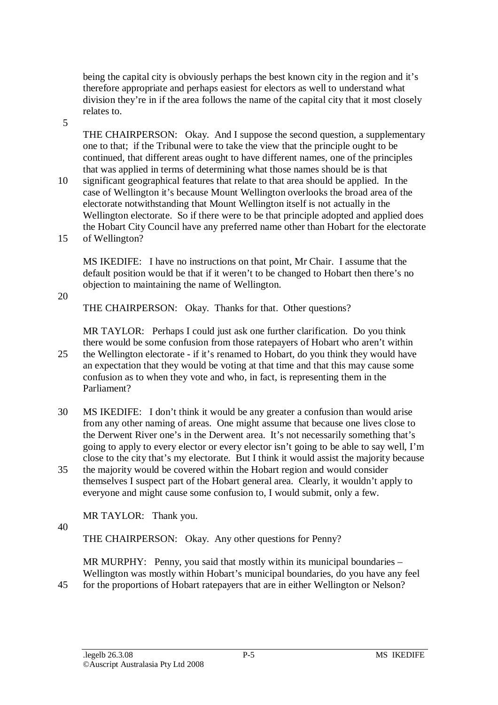being the capital city is obviously perhaps the best known city in the region and it's therefore appropriate and perhaps easiest for electors as well to understand what division they're in if the area follows the name of the capital city that it most closely relates to.

5

THE CHAIRPERSON: Okay. And I suppose the second question, a supplementary one to that; if the Tribunal were to take the view that the principle ought to be continued, that different areas ought to have different names, one of the principles that was applied in terms of determining what those names should be is that

10 significant geographical features that relate to that area should be applied. In the case of Wellington it's because Mount Wellington overlooks the broad area of the electorate notwithstanding that Mount Wellington itself is not actually in the Wellington electorate. So if there were to be that principle adopted and applied does the Hobart City Council have any preferred name other than Hobart for the electorate 15 of Wellington?

MS IKEDIFE: I have no instructions on that point, Mr Chair. I assume that the default position would be that if it weren't to be changed to Hobart then there's no objection to maintaining the name of Wellington.

20

THE CHAIRPERSON: Okay. Thanks for that. Other questions?

MR TAYLOR: Perhaps I could just ask one further clarification. Do you think there would be some confusion from those ratepayers of Hobart who aren't within 25 the Wellington electorate - if it's renamed to Hobart, do you think they would have an expectation that they would be voting at that time and that this may cause some confusion as to when they vote and who, in fact, is representing them in the Parliament?

- 30 MS IKEDIFE: I don't think it would be any greater a confusion than would arise from any other naming of areas. One might assume that because one lives close to the Derwent River one's in the Derwent area. It's not necessarily something that's going to apply to every elector or every elector isn't going to be able to say well, I'm close to the city that's my electorate. But I think it would assist the majority because
- 35 the majority would be covered within the Hobart region and would consider themselves I suspect part of the Hobart general area. Clearly, it wouldn't apply to everyone and might cause some confusion to, I would submit, only a few.

MR TAYLOR: Thank you.

40

THE CHAIRPERSON: Okay. Any other questions for Penny?

MR MURPHY: Penny, you said that mostly within its municipal boundaries – Wellington was mostly within Hobart's municipal boundaries, do you have any feel 45 for the proportions of Hobart ratepayers that are in either Wellington or Nelson?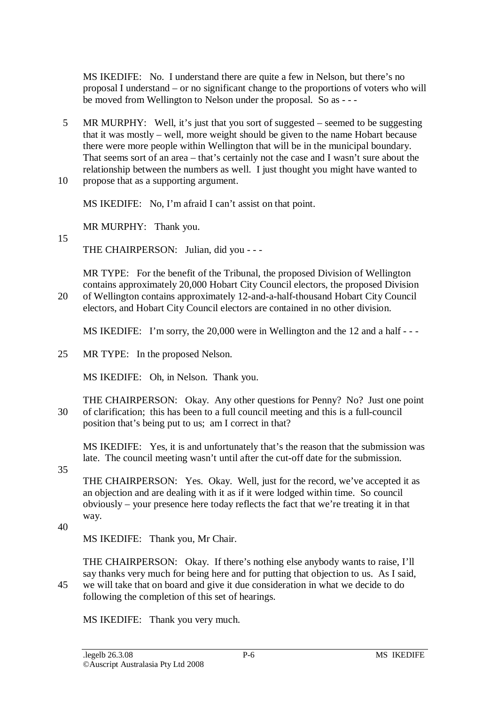MS IKEDIFE: No. I understand there are quite a few in Nelson, but there's no proposal I understand – or no significant change to the proportions of voters who will be moved from Wellington to Nelson under the proposal. So as - - -

5 MR MURPHY: Well, it's just that you sort of suggested – seemed to be suggesting that it was mostly – well, more weight should be given to the name Hobart because there were more people within Wellington that will be in the municipal boundary. That seems sort of an area – that's certainly not the case and I wasn't sure about the relationship between the numbers as well. I just thought you might have wanted to 10 propose that as a supporting argument.

MS IKEDIFE: No, I'm afraid I can't assist on that point.

MR MURPHY: Thank you.

15

THE CHAIRPERSON: Julian, did you - - -

MR TYPE: For the benefit of the Tribunal, the proposed Division of Wellington contains approximately 20,000 Hobart City Council electors, the proposed Division 20 of Wellington contains approximately 12-and-a-half-thousand Hobart City Council electors, and Hobart City Council electors are contained in no other division.

MS IKEDIFE: I'm sorry, the 20,000 were in Wellington and the 12 and a half - - -

25 MR TYPE: In the proposed Nelson.

MS IKEDIFE: Oh, in Nelson. Thank you.

THE CHAIRPERSON: Okay. Any other questions for Penny? No? Just one point 30 of clarification; this has been to a full council meeting and this is a full-council position that's being put to us; am I correct in that?

MS IKEDIFE: Yes, it is and unfortunately that's the reason that the submission was late. The council meeting wasn't until after the cut-off date for the submission.

35

THE CHAIRPERSON: Yes. Okay. Well, just for the record, we've accepted it as an objection and are dealing with it as if it were lodged within time. So council obviously – your presence here today reflects the fact that we're treating it in that way.

40

MS IKEDIFE: Thank you, Mr Chair.

THE CHAIRPERSON: Okay. If there's nothing else anybody wants to raise, I'll say thanks very much for being here and for putting that objection to us. As I said, 45 we will take that on board and give it due consideration in what we decide to do following the completion of this set of hearings.

MS IKEDIFE: Thank you very much.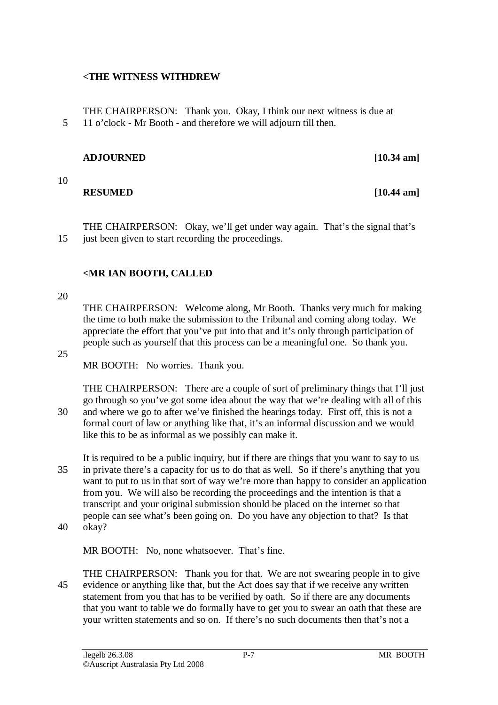### **<THE WITNESS WITHDREW**

THE CHAIRPERSON: Thank you. Okay, I think our next witness is due at 5 11 o'clock - Mr Booth - and therefore we will adjourn till then.

### **ADJOURNED [10.34 am]**

10

### **RESUMED** [10.44 am]

THE CHAIRPERSON: Okay, we'll get under way again. That's the signal that's

# 15 just been given to start recording the proceedings.

# **<MR IAN BOOTH, CALLED**

### 20

THE CHAIRPERSON: Welcome along, Mr Booth. Thanks very much for making the time to both make the submission to the Tribunal and coming along today. We appreciate the effort that you've put into that and it's only through participation of people such as yourself that this process can be a meaningful one. So thank you.

#### 25

MR BOOTH: No worries. Thank you.

THE CHAIRPERSON: There are a couple of sort of preliminary things that I'll just go through so you've got some idea about the way that we're dealing with all of this 30 and where we go to after we've finished the hearings today. First off, this is not a formal court of law or anything like that, it's an informal discussion and we would like this to be as informal as we possibly can make it.

It is required to be a public inquiry, but if there are things that you want to say to us 35 in private there's a capacity for us to do that as well. So if there's anything that you want to put to us in that sort of way we're more than happy to consider an application from you. We will also be recording the proceedings and the intention is that a transcript and your original submission should be placed on the internet so that people can see what's been going on. Do you have any objection to that? Is that 40 okay?

MR BOOTH: No, none whatsoever. That's fine.

THE CHAIRPERSON: Thank you for that. We are not swearing people in to give 45 evidence or anything like that, but the Act does say that if we receive any written statement from you that has to be verified by oath. So if there are any documents that you want to table we do formally have to get you to swear an oath that these are your written statements and so on. If there's no such documents then that's not a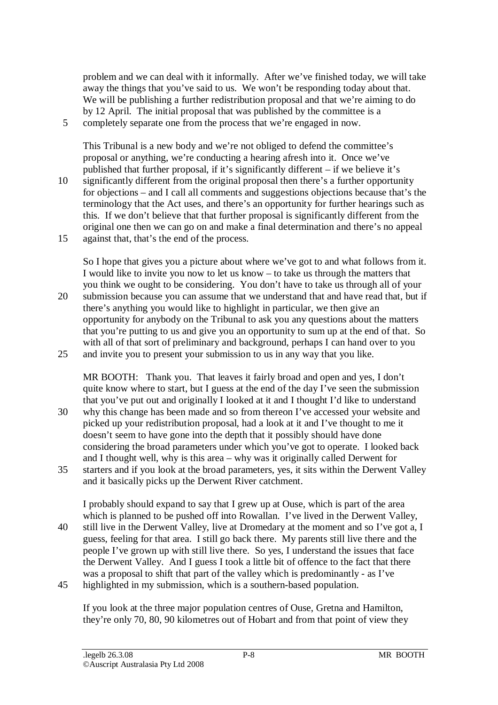problem and we can deal with it informally. After we've finished today, we will take away the things that you've said to us. We won't be responding today about that. We will be publishing a further redistribution proposal and that we're aiming to do by 12 April. The initial proposal that was published by the committee is a 5 completely separate one from the process that we're engaged in now.

This Tribunal is a new body and we're not obliged to defend the committee's proposal or anything, we're conducting a hearing afresh into it. Once we've published that further proposal, if it's significantly different – if we believe it's 10 significantly different from the original proposal then there's a further opportunity for objections – and I call all comments and suggestions objections because that's the terminology that the Act uses, and there's an opportunity for further hearings such as this. If we don't believe that that further proposal is significantly different from the original one then we can go on and make a final determination and there's no appeal 15 against that, that's the end of the process.

So I hope that gives you a picture about where we've got to and what follows from it. I would like to invite you now to let us know – to take us through the matters that you think we ought to be considering. You don't have to take us through all of your 20 submission because you can assume that we understand that and have read that, but if there's anything you would like to highlight in particular, we then give an opportunity for anybody on the Tribunal to ask you any questions about the matters that you're putting to us and give you an opportunity to sum up at the end of that. So with all of that sort of preliminary and background, perhaps I can hand over to you

25 and invite you to present your submission to us in any way that you like.

MR BOOTH: Thank you. That leaves it fairly broad and open and yes, I don't quite know where to start, but I guess at the end of the day I've seen the submission that you've put out and originally I looked at it and I thought I'd like to understand 30 why this change has been made and so from thereon I've accessed your website and

- picked up your redistribution proposal, had a look at it and I've thought to me it doesn't seem to have gone into the depth that it possibly should have done considering the broad parameters under which you've got to operate. I looked back and I thought well, why is this area – why was it originally called Derwent for
- 35 starters and if you look at the broad parameters, yes, it sits within the Derwent Valley and it basically picks up the Derwent River catchment.

I probably should expand to say that I grew up at Ouse, which is part of the area which is planned to be pushed off into Rowallan. I've lived in the Derwent Valley, 40 still live in the Derwent Valley, live at Dromedary at the moment and so I've got a, I guess, feeling for that area. I still go back there. My parents still live there and the people I've grown up with still live there. So yes, I understand the issues that face the Derwent Valley. And I guess I took a little bit of offence to the fact that there was a proposal to shift that part of the valley which is predominantly - as I've 45 highlighted in my submission, which is a southern-based population.

If you look at the three major population centres of Ouse, Gretna and Hamilton, they're only 70, 80, 90 kilometres out of Hobart and from that point of view they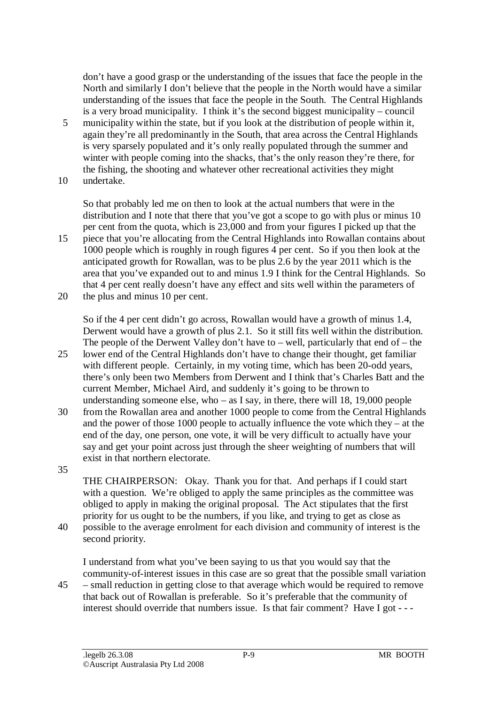don't have a good grasp or the understanding of the issues that face the people in the North and similarly I don't believe that the people in the North would have a similar understanding of the issues that face the people in the South. The Central Highlands is a very broad municipality. I think it's the second biggest municipality – council

- 5 municipality within the state, but if you look at the distribution of people within it, again they're all predominantly in the South, that area across the Central Highlands is very sparsely populated and it's only really populated through the summer and winter with people coming into the shacks, that's the only reason they're there, for the fishing, the shooting and whatever other recreational activities they might 10 undertake.
- 

So that probably led me on then to look at the actual numbers that were in the distribution and I note that there that you've got a scope to go with plus or minus 10 per cent from the quota, which is 23,000 and from your figures I picked up that the 15 piece that you're allocating from the Central Highlands into Rowallan contains about

- 1000 people which is roughly in rough figures 4 per cent. So if you then look at the anticipated growth for Rowallan, was to be plus 2.6 by the year 2011 which is the area that you've expanded out to and minus 1.9 I think for the Central Highlands. So that 4 per cent really doesn't have any effect and sits well within the parameters of
- 20 the plus and minus 10 per cent.

So if the 4 per cent didn't go across, Rowallan would have a growth of minus 1.4, Derwent would have a growth of plus 2.1. So it still fits well within the distribution. The people of the Derwent Valley don't have to – well, particularly that end of – the

- 25 lower end of the Central Highlands don't have to change their thought, get familiar with different people. Certainly, in my voting time, which has been 20-odd years, there's only been two Members from Derwent and I think that's Charles Batt and the current Member, Michael Aird, and suddenly it's going to be thrown to understanding someone else, who – as I say, in there, there will 18, 19,000 people
- 30 from the Rowallan area and another 1000 people to come from the Central Highlands and the power of those 1000 people to actually influence the vote which they – at the end of the day, one person, one vote, it will be very difficult to actually have your say and get your point across just through the sheer weighting of numbers that will exist in that northern electorate.
- 35

THE CHAIRPERSON: Okay. Thank you for that. And perhaps if I could start with a question. We're obliged to apply the same principles as the committee was obliged to apply in making the original proposal. The Act stipulates that the first priority for us ought to be the numbers, if you like, and trying to get as close as

40 possible to the average enrolment for each division and community of interest is the second priority.

I understand from what you've been saying to us that you would say that the community-of-interest issues in this case are so great that the possible small variation 45 – small reduction in getting close to that average which would be required to remove that back out of Rowallan is preferable. So it's preferable that the community of interest should override that numbers issue. Is that fair comment? Have I got - - -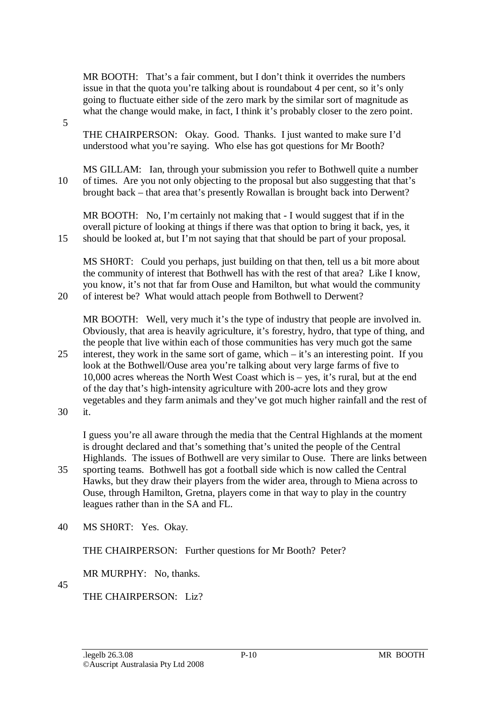MR BOOTH: That's a fair comment, but I don't think it overrides the numbers issue in that the quota you're talking about is roundabout 4 per cent, so it's only going to fluctuate either side of the zero mark by the similar sort of magnitude as what the change would make, in fact, I think it's probably closer to the zero point.

THE CHAIRPERSON: Okay. Good. Thanks. I just wanted to make sure I'd understood what you're saying. Who else has got questions for Mr Booth?

MS GILLAM: Ian, through your submission you refer to Bothwell quite a number 10 of times. Are you not only objecting to the proposal but also suggesting that that's brought back – that area that's presently Rowallan is brought back into Derwent?

MR BOOTH: No, I'm certainly not making that - I would suggest that if in the overall picture of looking at things if there was that option to bring it back, yes, it 15 should be looked at, but I'm not saying that that should be part of your proposal.

MS SH0RT: Could you perhaps, just building on that then, tell us a bit more about the community of interest that Bothwell has with the rest of that area? Like I know, you know, it's not that far from Ouse and Hamilton, but what would the community 20 of interest be? What would attach people from Bothwell to Derwent?

MR BOOTH: Well, very much it's the type of industry that people are involved in. Obviously, that area is heavily agriculture, it's forestry, hydro, that type of thing, and the people that live within each of those communities has very much got the same 25 interest, they work in the same sort of game, which – it's an interesting point. If you look at the Bothwell/Ouse area you're talking about very large farms of five to 10,000 acres whereas the North West Coast which is – yes, it's rural, but at the end of the day that's high-intensity agriculture with 200-acre lots and they grow vegetables and they farm animals and they've got much higher rainfall and the rest of

30 it.

5

I guess you're all aware through the media that the Central Highlands at the moment is drought declared and that's something that's united the people of the Central Highlands. The issues of Bothwell are very similar to Ouse. There are links between

- 35 sporting teams. Bothwell has got a football side which is now called the Central Hawks, but they draw their players from the wider area, through to Miena across to Ouse, through Hamilton, Gretna, players come in that way to play in the country leagues rather than in the SA and FL.
- 40 MS SH0RT: Yes. Okay.

THE CHAIRPERSON: Further questions for Mr Booth? Peter?

MR MURPHY: No, thanks.

45

THE CHAIRPERSON: Liz?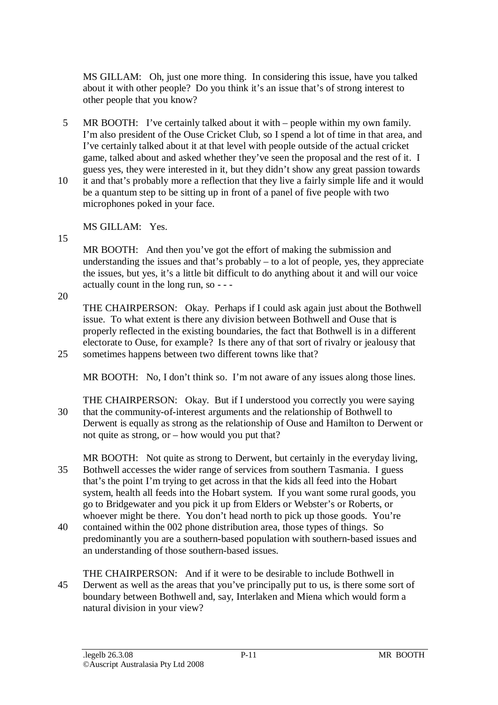MS GILLAM: Oh, just one more thing. In considering this issue, have you talked about it with other people? Do you think it's an issue that's of strong interest to other people that you know?

- 5 MR BOOTH: I've certainly talked about it with people within my own family. I'm also president of the Ouse Cricket Club, so I spend a lot of time in that area, and I've certainly talked about it at that level with people outside of the actual cricket game, talked about and asked whether they've seen the proposal and the rest of it. I guess yes, they were interested in it, but they didn't show any great passion towards
- 10 it and that's probably more a reflection that they live a fairly simple life and it would be a quantum step to be sitting up in front of a panel of five people with two microphones poked in your face.

MS GILLAM: Yes.

15

MR BOOTH: And then you've got the effort of making the submission and understanding the issues and that's probably  $-$  to a lot of people, yes, they appreciate the issues, but yes, it's a little bit difficult to do anything about it and will our voice actually count in the long run, so - - -

20

THE CHAIRPERSON: Okay. Perhaps if I could ask again just about the Bothwell issue. To what extent is there any division between Bothwell and Ouse that is properly reflected in the existing boundaries, the fact that Bothwell is in a different electorate to Ouse, for example? Is there any of that sort of rivalry or jealousy that 25 sometimes happens between two different towns like that?

MR BOOTH: No, I don't think so. I'm not aware of any issues along those lines.

- THE CHAIRPERSON: Okay. But if I understood you correctly you were saying 30 that the community-of-interest arguments and the relationship of Bothwell to Derwent is equally as strong as the relationship of Ouse and Hamilton to Derwent or not quite as strong, or – how would you put that?
- MR BOOTH: Not quite as strong to Derwent, but certainly in the everyday living, 35 Bothwell accesses the wider range of services from southern Tasmania. I guess that's the point I'm trying to get across in that the kids all feed into the Hobart system, health all feeds into the Hobart system. If you want some rural goods, you go to Bridgewater and you pick it up from Elders or Webster's or Roberts, or whoever might be there. You don't head north to pick up those goods. You're
- 40 contained within the 002 phone distribution area, those types of things. So predominantly you are a southern-based population with southern-based issues and an understanding of those southern-based issues.
- THE CHAIRPERSON: And if it were to be desirable to include Bothwell in 45 Derwent as well as the areas that you've principally put to us, is there some sort of boundary between Bothwell and, say, Interlaken and Miena which would form a natural division in your view?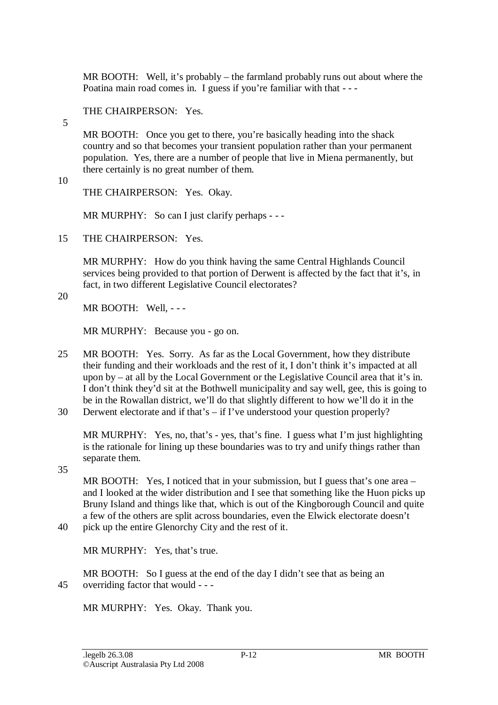MR BOOTH: Well, it's probably – the farmland probably runs out about where the Poatina main road comes in. I guess if you're familiar with that - - -

### THE CHAIRPERSON: Yes.

5

MR BOOTH: Once you get to there, you're basically heading into the shack country and so that becomes your transient population rather than your permanent population. Yes, there are a number of people that live in Miena permanently, but there certainly is no great number of them.

10

THE CHAIRPERSON: Yes. Okay.

MR MURPHY: So can I just clarify perhaps - - -

15 THE CHAIRPERSON: Yes.

MR MURPHY: How do you think having the same Central Highlands Council services being provided to that portion of Derwent is affected by the fact that it's, in fact, in two different Legislative Council electorates?

20

MR BOOTH: Well, - - -

MR MURPHY: Because you - go on.

- 25 MR BOOTH: Yes. Sorry. As far as the Local Government, how they distribute their funding and their workloads and the rest of it, I don't think it's impacted at all upon by – at all by the Local Government or the Legislative Council area that it's in. I don't think they'd sit at the Bothwell municipality and say well, gee, this is going to be in the Rowallan district, we'll do that slightly different to how we'll do it in the
- 30 Derwent electorate and if that's if I've understood your question properly?

MR MURPHY: Yes, no, that's - yes, that's fine. I guess what I'm just highlighting is the rationale for lining up these boundaries was to try and unify things rather than separate them.

35

MR BOOTH: Yes, I noticed that in your submission, but I guess that's one area – and I looked at the wider distribution and I see that something like the Huon picks up Bruny Island and things like that, which is out of the Kingborough Council and quite a few of the others are split across boundaries, even the Elwick electorate doesn't

40 pick up the entire Glenorchy City and the rest of it.

MR MURPHY: Yes, that's true.

MR BOOTH: So I guess at the end of the day I didn't see that as being an 45 overriding factor that would - - -

MR MURPHY: Yes. Okay. Thank you.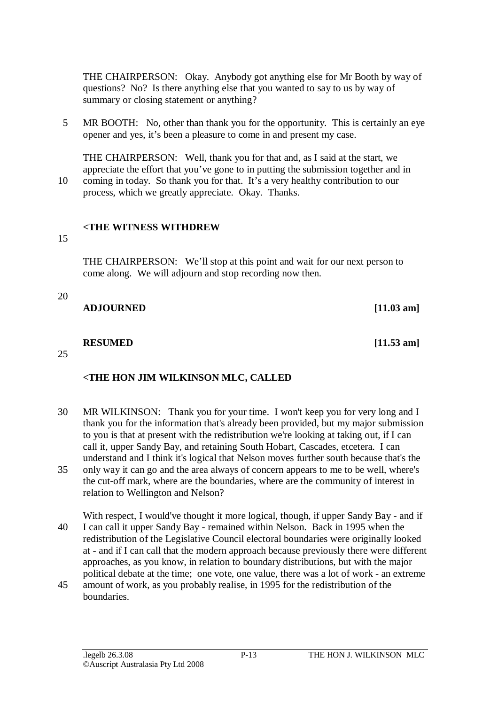THE CHAIRPERSON: Okay. Anybody got anything else for Mr Booth by way of questions? No? Is there anything else that you wanted to say to us by way of summary or closing statement or anything?

5 MR BOOTH: No, other than thank you for the opportunity. This is certainly an eye opener and yes, it's been a pleasure to come in and present my case.

THE CHAIRPERSON: Well, thank you for that and, as I said at the start, we appreciate the effort that you've gone to in putting the submission together and in 10 coming in today. So thank you for that. It's a very healthy contribution to our process, which we greatly appreciate. Okay. Thanks.

### **<THE WITNESS WITHDREW**

15

THE CHAIRPERSON: We'll stop at this point and wait for our next person to come along. We will adjourn and stop recording now then.

20

**ADJOURNED [11.03 am]**

#### **RESUMED** [11.53 am]

25

# **<THE HON JIM WILKINSON MLC, CALLED**

- 30 MR WILKINSON: Thank you for your time. I won't keep you for very long and I thank you for the information that's already been provided, but my major submission to you is that at present with the redistribution we're looking at taking out, if I can call it, upper Sandy Bay, and retaining South Hobart, Cascades, etcetera. I can understand and I think it's logical that Nelson moves further south because that's the
- 35 only way it can go and the area always of concern appears to me to be well, where's the cut-off mark, where are the boundaries, where are the community of interest in relation to Wellington and Nelson?

With respect, I would've thought it more logical, though, if upper Sandy Bay - and if 40 I can call it upper Sandy Bay - remained within Nelson. Back in 1995 when the redistribution of the Legislative Council electoral boundaries were originally looked at - and if I can call that the modern approach because previously there were different approaches, as you know, in relation to boundary distributions, but with the major political debate at the time; one vote, one value, there was a lot of work - an extreme

45 amount of work, as you probably realise, in 1995 for the redistribution of the boundaries.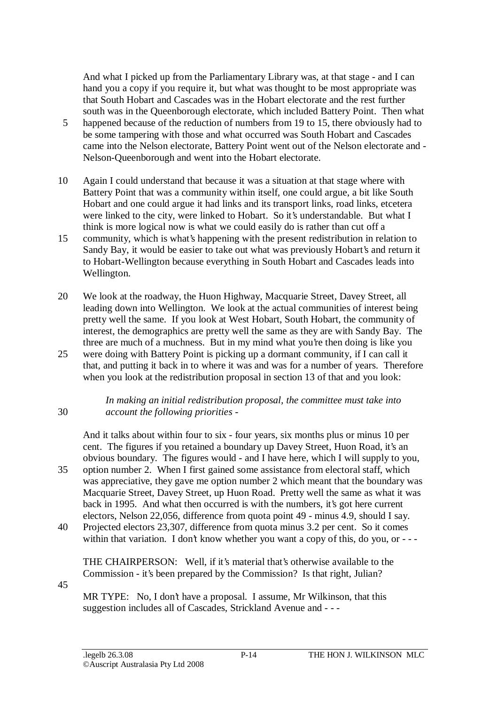And what I picked up from the Parliamentary Library was, at that stage - and I can hand you a copy if you require it, but what was thought to be most appropriate was that South Hobart and Cascades was in the Hobart electorate and the rest further south was in the Queenborough electorate, which included Battery Point. Then what

- 5 happened because of the reduction of numbers from 19 to 15, there obviously had to be some tampering with those and what occurred was South Hobart and Cascades came into the Nelson electorate, Battery Point went out of the Nelson electorate and - Nelson-Queenborough and went into the Hobart electorate.
- 10 Again I could understand that because it was a situation at that stage where with Battery Point that was a community within itself, one could argue, a bit like South Hobart and one could argue it had links and its transport links, road links, etcetera were linked to the city, were linked to Hobart. So it's understandable. But what I think is more logical now is what we could easily do is rather than cut off a
- 15 community, which is what's happening with the present redistribution in relation to Sandy Bay, it would be easier to take out what was previously Hobart's and return it to Hobart-Wellington because everything in South Hobart and Cascades leads into Wellington.
- 20 We look at the roadway, the Huon Highway, Macquarie Street, Davey Street, all leading down into Wellington. We look at the actual communities of interest being pretty well the same. If you look at West Hobart, South Hobart, the community of interest, the demographics are pretty well the same as they are with Sandy Bay. The three are much of a muchness. But in my mind what you're then doing is like you
- 25 were doing with Battery Point is picking up a dormant community, if I can call it that, and putting it back in to where it was and was for a number of years. Therefore when you look at the redistribution proposal in section 13 of that and you look:

#### *In making an initial redistribution proposal, the committee must take into*  30 *account the following priorities -*

And it talks about within four to six - four years, six months plus or minus 10 per cent. The figures if you retained a boundary up Davey Street, Huon Road, it's an obvious boundary. The figures would - and I have here, which I will supply to you, 35 option number 2. When I first gained some assistance from electoral staff, which was appreciative, they gave me option number 2 which meant that the boundary was Macquarie Street, Davey Street, up Huon Road. Pretty well the same as what it was back in 1995. And what then occurred is with the numbers, it's got here current electors, Nelson 22,056, difference from quota point 49 - minus 4.9, should I say.

40 Projected electors 23,307, difference from quota minus 3.2 per cent. So it comes within that variation. I don't know whether you want a copy of this, do you, or - - -

THE CHAIRPERSON: Well, if it's material that's otherwise available to the Commission - it's been prepared by the Commission? Is that right, Julian?

45

MR TYPE: No, I don't have a proposal. I assume, Mr Wilkinson, that this suggestion includes all of Cascades, Strickland Avenue and - - -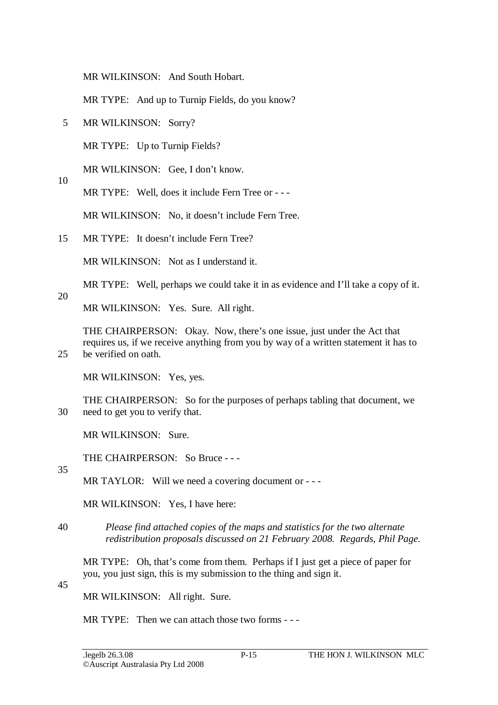MR WILKINSON: And South Hobart.

MR TYPE: And up to Turnip Fields, do you know?

5 MR WILKINSON: Sorry?

MR TYPE: Up to Turnip Fields?

MR WILKINSON: Gee, I don't know.

MR TYPE: Well, does it include Fern Tree or - - -

MR WILKINSON: No, it doesn't include Fern Tree.

15 MR TYPE: It doesn't include Fern Tree?

MR WILKINSON: Not as I understand it.

MR TYPE: Well, perhaps we could take it in as evidence and I'll take a copy of it.

MR WILKINSON: Yes. Sure. All right.

THE CHAIRPERSON: Okay. Now, there's one issue, just under the Act that requires us, if we receive anything from you by way of a written statement it has to 25 be verified on oath.

MR WILKINSON: Yes, yes.

THE CHAIRPERSON: So for the purposes of perhaps tabling that document, we 30 need to get you to verify that.

MR WILKINSON: Sure.

THE CHAIRPERSON: So Bruce - - -

35

10

20

MR TAYLOR: Will we need a covering document or - - -

MR WILKINSON: Yes, I have here:

40 *Please find attached copies of the maps and statistics for the two alternate redistribution proposals discussed on 21 February 2008. Regards, Phil Page.* 

MR TYPE: Oh, that's come from them. Perhaps if I just get a piece of paper for you, you just sign, this is my submission to the thing and sign it.

45

MR WILKINSON: All right. Sure.

MR TYPE: Then we can attach those two forms - --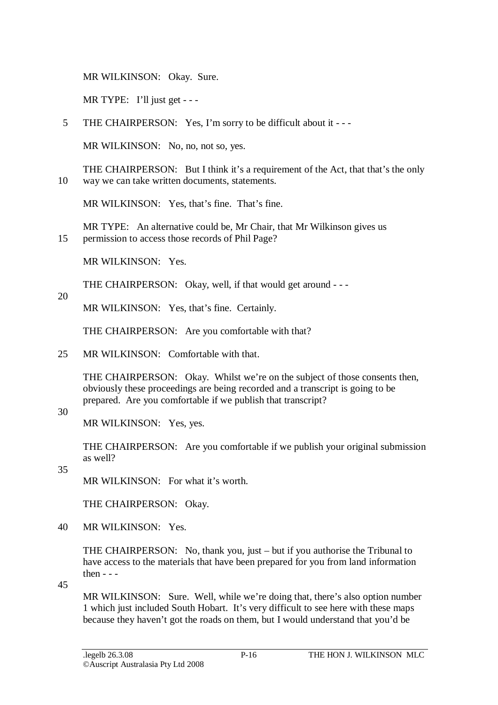MR WILKINSON: Okay. Sure.

MR TYPE: I'll just get  $--$ 

5 THE CHAIRPERSON: Yes, I'm sorry to be difficult about it - - -

MR WILKINSON: No, no, not so, yes.

THE CHAIRPERSON: But I think it's a requirement of the Act, that that's the only 10 way we can take written documents, statements.

MR WILKINSON: Yes, that's fine. That's fine.

MR TYPE: An alternative could be, Mr Chair, that Mr Wilkinson gives us 15 permission to access those records of Phil Page?

MR WILKINSON: Yes.

THE CHAIRPERSON: Okay, well, if that would get around - - -

#### 20

MR WILKINSON: Yes, that's fine. Certainly.

THE CHAIRPERSON: Are you comfortable with that?

25 MR WILKINSON: Comfortable with that.

THE CHAIRPERSON: Okay. Whilst we're on the subject of those consents then, obviously these proceedings are being recorded and a transcript is going to be prepared. Are you comfortable if we publish that transcript?

### 30

MR WILKINSON: Yes, yes.

THE CHAIRPERSON: Are you comfortable if we publish your original submission as well?

35

MR WILKINSON: For what it's worth.

THE CHAIRPERSON: Okay.

40 MR WILKINSON: Yes.

THE CHAIRPERSON: No, thank you, just – but if you authorise the Tribunal to have access to the materials that have been prepared for you from land information then - - -

45

MR WILKINSON: Sure. Well, while we're doing that, there's also option number 1 which just included South Hobart. It's very difficult to see here with these maps because they haven't got the roads on them, but I would understand that you'd be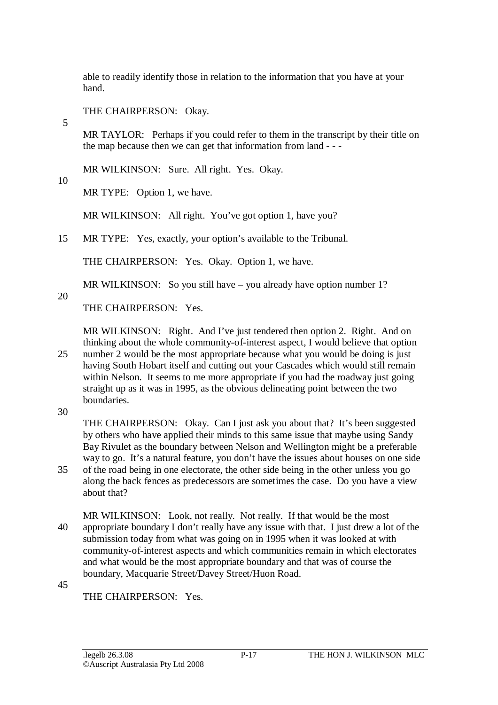able to readily identify those in relation to the information that you have at your hand.

THE CHAIRPERSON: Okay.

MR TAYLOR: Perhaps if you could refer to them in the transcript by their title on the map because then we can get that information from land - - -

MR WILKINSON: Sure. All right. Yes. Okay.

10

5

MR TYPE: Option 1, we have.

MR WILKINSON: All right. You've got option 1, have you?

15 MR TYPE: Yes, exactly, your option's available to the Tribunal.

THE CHAIRPERSON: Yes. Okay. Option 1, we have.

MR WILKINSON: So you still have – you already have option number 1?

20

THE CHAIRPERSON: Yes.

MR WILKINSON: Right. And I've just tendered then option 2. Right. And on thinking about the whole community-of-interest aspect, I would believe that option

25 number 2 would be the most appropriate because what you would be doing is just having South Hobart itself and cutting out your Cascades which would still remain within Nelson. It seems to me more appropriate if you had the roadway just going straight up as it was in 1995, as the obvious delineating point between the two boundaries.

30

THE CHAIRPERSON: Okay. Can I just ask you about that? It's been suggested by others who have applied their minds to this same issue that maybe using Sandy Bay Rivulet as the boundary between Nelson and Wellington might be a preferable way to go. It's a natural feature, you don't have the issues about houses on one side

35 of the road being in one electorate, the other side being in the other unless you go along the back fences as predecessors are sometimes the case. Do you have a view about that?

MR WILKINSON: Look, not really. Not really. If that would be the most 40 appropriate boundary I don't really have any issue with that. I just drew a lot of the submission today from what was going on in 1995 when it was looked at with community-of-interest aspects and which communities remain in which electorates and what would be the most appropriate boundary and that was of course the boundary, Macquarie Street/Davey Street/Huon Road.

45

THE CHAIRPERSON: Yes.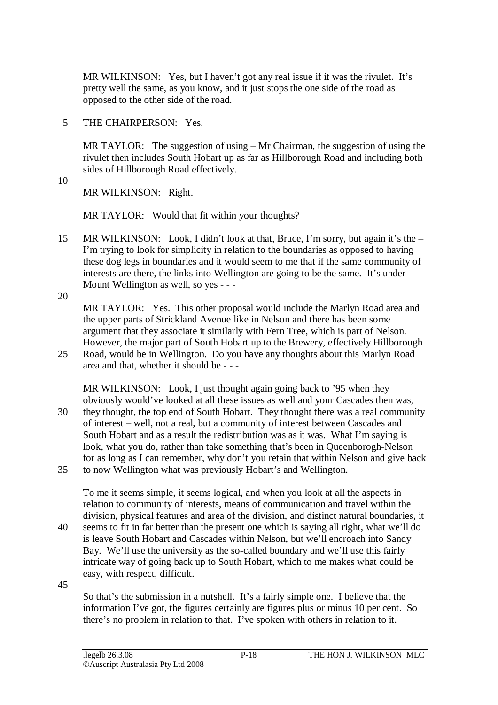MR WILKINSON: Yes, but I haven't got any real issue if it was the rivulet. It's pretty well the same, as you know, and it just stops the one side of the road as opposed to the other side of the road.

5 THE CHAIRPERSON: Yes.

MR TAYLOR: The suggestion of using – Mr Chairman, the suggestion of using the rivulet then includes South Hobart up as far as Hillborough Road and including both sides of Hillborough Road effectively.

10

MR WILKINSON: Right.

MR TAYLOR: Would that fit within your thoughts?

15 MR WILKINSON: Look, I didn't look at that, Bruce, I'm sorry, but again it's the – I'm trying to look for simplicity in relation to the boundaries as opposed to having these dog legs in boundaries and it would seem to me that if the same community of interests are there, the links into Wellington are going to be the same. It's under Mount Wellington as well, so yes - - -

20

MR TAYLOR: Yes. This other proposal would include the Marlyn Road area and the upper parts of Strickland Avenue like in Nelson and there has been some argument that they associate it similarly with Fern Tree, which is part of Nelson. However, the major part of South Hobart up to the Brewery, effectively Hillborough

25 Road, would be in Wellington. Do you have any thoughts about this Marlyn Road area and that, whether it should be - - -

MR WILKINSON: Look, I just thought again going back to '95 when they obviously would've looked at all these issues as well and your Cascades then was, 30 they thought, the top end of South Hobart. They thought there was a real community of interest – well, not a real, but a community of interest between Cascades and South Hobart and as a result the redistribution was as it was. What I'm saying is look, what you do, rather than take something that's been in Queenborogh-Nelson for as long as I can remember, why don't you retain that within Nelson and give back

35 to now Wellington what was previously Hobart's and Wellington.

To me it seems simple, it seems logical, and when you look at all the aspects in relation to community of interests, means of communication and travel within the division, physical features and area of the division, and distinct natural boundaries, it 40 seems to fit in far better than the present one which is saying all right, what we'll do

- is leave South Hobart and Cascades within Nelson, but we'll encroach into Sandy Bay. We'll use the university as the so-called boundary and we'll use this fairly intricate way of going back up to South Hobart, which to me makes what could be easy, with respect, difficult.
- 45

So that's the submission in a nutshell. It's a fairly simple one. I believe that the information I've got, the figures certainly are figures plus or minus 10 per cent. So there's no problem in relation to that. I've spoken with others in relation to it.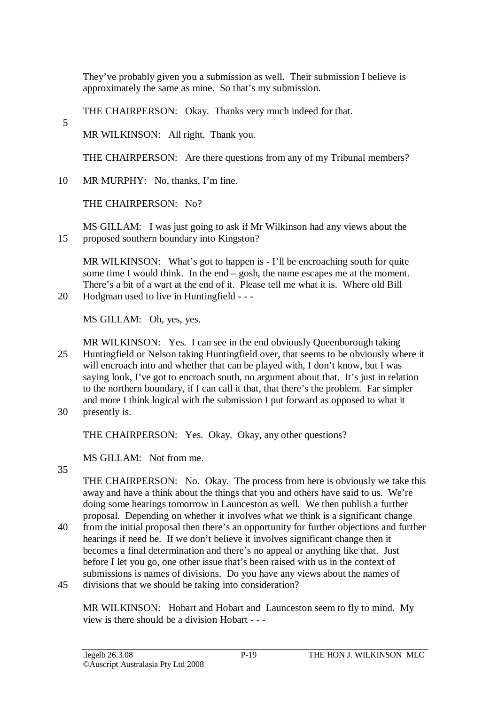They've probably given you a submission as well. Their submission I believe is approximately the same as mine. So that's my submission.

THE CHAIRPERSON: Okay. Thanks very much indeed for that.

MR WILKINSON: All right. Thank you.

THE CHAIRPERSON: Are there questions from any of my Tribunal members?

10 MR MURPHY: No, thanks, I'm fine.

THE CHAIRPERSON: No?

MS GILLAM: I was just going to ask if Mr Wilkinson had any views about the 15 proposed southern boundary into Kingston?

MR WILKINSON: What's got to happen is - I'll be encroaching south for quite some time I would think. In the end  $-\cosh$ , the name escapes me at the moment. There's a bit of a wart at the end of it. Please tell me what it is. Where old Bill 20 Hodgman used to live in Huntingfield - - -

MS GILLAM: Oh, yes, yes.

MR WILKINSON: Yes. I can see in the end obviously Queenborough taking 25 Huntingfield or Nelson taking Huntingfield over, that seems to be obviously where it will encroach into and whether that can be played with, I don't know, but I was saying look, I've got to encroach south, no argument about that. It's just in relation to the northern boundary, if I can call it that, that there's the problem. Far simpler and more I think logical with the submission I put forward as opposed to what it

30 presently is.

THE CHAIRPERSON: Yes. Okay. Okay, any other questions?

MS GILLAM: Not from me.

35

5

THE CHAIRPERSON: No. Okay. The process from here is obviously we take this away and have a think about the things that you and others have said to us. We're doing some hearings tomorrow in Launceston as well. We then publish a further proposal. Depending on whether it involves what we think is a significant change

- 40 from the initial proposal then there's an opportunity for further objections and further hearings if need be. If we don't believe it involves significant change then it becomes a final determination and there's no appeal or anything like that. Just before I let you go, one other issue that's been raised with us in the context of submissions is names of divisions. Do you have any views about the names of
- 45 divisions that we should be taking into consideration?

MR WILKINSON: Hobart and Hobart and Launceston seem to fly to mind. My view is there should be a division Hobart - - -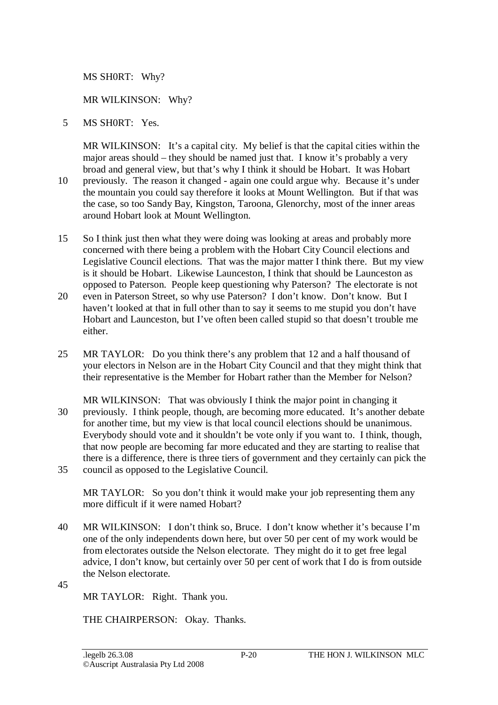MS SH0RT: Why?

### MR WILKINSON: Why?

5 MS SH0RT: Yes.

MR WILKINSON: It's a capital city. My belief is that the capital cities within the major areas should – they should be named just that. I know it's probably a very broad and general view, but that's why I think it should be Hobart. It was Hobart 10 previously. The reason it changed - again one could argue why. Because it's under the mountain you could say therefore it looks at Mount Wellington. But if that was the case, so too Sandy Bay, Kingston, Taroona, Glenorchy, most of the inner areas around Hobart look at Mount Wellington.

- 15 So I think just then what they were doing was looking at areas and probably more concerned with there being a problem with the Hobart City Council elections and Legislative Council elections. That was the major matter I think there. But my view is it should be Hobart. Likewise Launceston, I think that should be Launceston as opposed to Paterson. People keep questioning why Paterson? The electorate is not
- 20 even in Paterson Street, so why use Paterson? I don't know. Don't know. But I haven't looked at that in full other than to say it seems to me stupid you don't have Hobart and Launceston, but I've often been called stupid so that doesn't trouble me either.
- 25 MR TAYLOR: Do you think there's any problem that 12 and a half thousand of your electors in Nelson are in the Hobart City Council and that they might think that their representative is the Member for Hobart rather than the Member for Nelson?
- MR WILKINSON: That was obviously I think the major point in changing it 30 previously. I think people, though, are becoming more educated. It's another debate for another time, but my view is that local council elections should be unanimous. Everybody should vote and it shouldn't be vote only if you want to. I think, though, that now people are becoming far more educated and they are starting to realise that there is a difference, there is three tiers of government and they certainly can pick the 35 council as opposed to the Legislative Council.

MR TAYLOR: So you don't think it would make your job representing them any more difficult if it were named Hobart?

- 40 MR WILKINSON: I don't think so, Bruce. I don't know whether it's because I'm one of the only independents down here, but over 50 per cent of my work would be from electorates outside the Nelson electorate. They might do it to get free legal advice, I don't know, but certainly over 50 per cent of work that I do is from outside the Nelson electorate.
- 45

MR TAYLOR: Right. Thank you.

THE CHAIRPERSON: Okay. Thanks.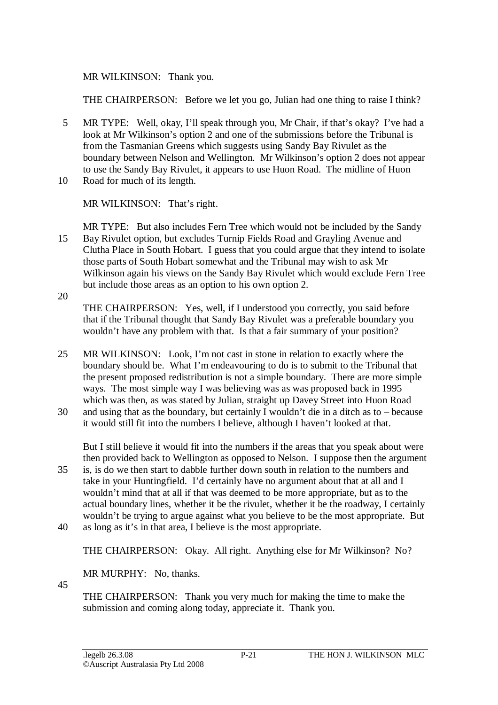MR WILKINSON: Thank you.

THE CHAIRPERSON: Before we let you go, Julian had one thing to raise I think?

5 MR TYPE: Well, okay, I'll speak through you, Mr Chair, if that's okay? I've had a look at Mr Wilkinson's option 2 and one of the submissions before the Tribunal is from the Tasmanian Greens which suggests using Sandy Bay Rivulet as the boundary between Nelson and Wellington. Mr Wilkinson's option 2 does not appear to use the Sandy Bay Rivulet, it appears to use Huon Road. The midline of Huon 10 Road for much of its length.

MR WILKINSON: That's right.

MR TYPE: But also includes Fern Tree which would not be included by the Sandy 15 Bay Rivulet option, but excludes Turnip Fields Road and Grayling Avenue and Clutha Place in South Hobart. I guess that you could argue that they intend to isolate those parts of South Hobart somewhat and the Tribunal may wish to ask Mr Wilkinson again his views on the Sandy Bay Rivulet which would exclude Fern Tree but include those areas as an option to his own option 2.

20

45

THE CHAIRPERSON: Yes, well, if I understood you correctly, you said before that if the Tribunal thought that Sandy Bay Rivulet was a preferable boundary you wouldn't have any problem with that. Is that a fair summary of your position?

- 25 MR WILKINSON: Look, I'm not cast in stone in relation to exactly where the boundary should be. What I'm endeavouring to do is to submit to the Tribunal that the present proposed redistribution is not a simple boundary. There are more simple ways. The most simple way I was believing was as was proposed back in 1995 which was then, as was stated by Julian, straight up Davey Street into Huon Road
- 30 and using that as the boundary, but certainly I wouldn't die in a ditch as to because it would still fit into the numbers I believe, although I haven't looked at that.

But I still believe it would fit into the numbers if the areas that you speak about were then provided back to Wellington as opposed to Nelson. I suppose then the argument

- 35 is, is do we then start to dabble further down south in relation to the numbers and take in your Huntingfield. I'd certainly have no argument about that at all and I wouldn't mind that at all if that was deemed to be more appropriate, but as to the actual boundary lines, whether it be the rivulet, whether it be the roadway, I certainly wouldn't be trying to argue against what you believe to be the most appropriate. But
- 40 as long as it's in that area, I believe is the most appropriate.

THE CHAIRPERSON: Okay. All right. Anything else for Mr Wilkinson? No?

MR MURPHY: No, thanks.

THE CHAIRPERSON: Thank you very much for making the time to make the submission and coming along today, appreciate it. Thank you.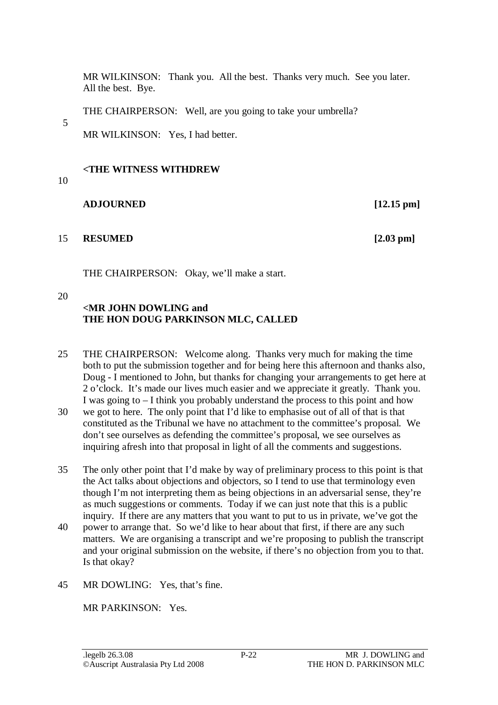MR WILKINSON: Thank you. All the best. Thanks very much. See you later. All the best. Bye.

THE CHAIRPERSON: Well, are you going to take your umbrella?

MR WILKINSON: Yes, I had better.

#### **<THE WITNESS WITHDREW**

#### 10

5

### **ADJOURNED [12.15 pm]**

15 **RESUMED [2.03 pm]**

THE CHAIRPERSON: Okay, we'll make a start.

#### 20

# **<MR JOHN DOWLING and THE HON DOUG PARKINSON MLC, CALLED**

25 THE CHAIRPERSON: Welcome along. Thanks very much for making the time both to put the submission together and for being here this afternoon and thanks also, Doug - I mentioned to John, but thanks for changing your arrangements to get here at 2 o'clock. It's made our lives much easier and we appreciate it greatly. Thank you. I was going to – I think you probably understand the process to this point and how

30 we got to here. The only point that I'd like to emphasise out of all of that is that constituted as the Tribunal we have no attachment to the committee's proposal. We don't see ourselves as defending the committee's proposal, we see ourselves as inquiring afresh into that proposal in light of all the comments and suggestions.

35 The only other point that I'd make by way of preliminary process to this point is that the Act talks about objections and objectors, so I tend to use that terminology even though I'm not interpreting them as being objections in an adversarial sense, they're as much suggestions or comments. Today if we can just note that this is a public inquiry. If there are any matters that you want to put to us in private, we've got the

40 power to arrange that. So we'd like to hear about that first, if there are any such matters. We are organising a transcript and we're proposing to publish the transcript and your original submission on the website, if there's no objection from you to that. Is that okay?

45 MR DOWLING: Yes, that's fine.

MR PARKINSON: Yes.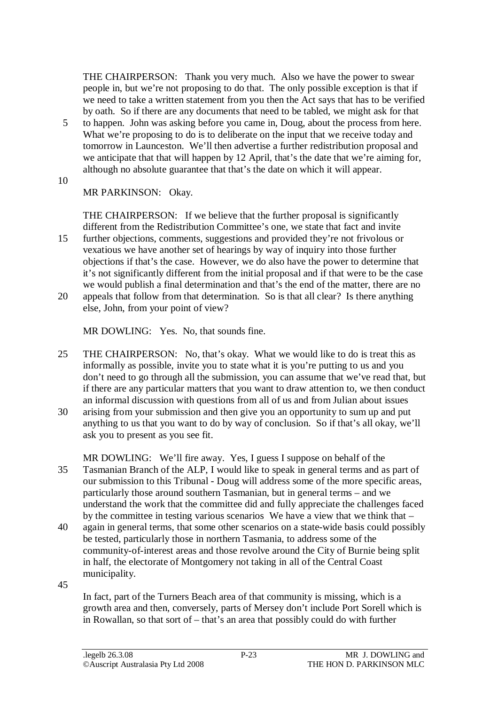THE CHAIRPERSON: Thank you very much. Also we have the power to swear people in, but we're not proposing to do that. The only possible exception is that if we need to take a written statement from you then the Act says that has to be verified by oath. So if there are any documents that need to be tabled, we might ask for that

- 5 to happen. John was asking before you came in, Doug, about the process from here. What we're proposing to do is to deliberate on the input that we receive today and tomorrow in Launceston. We'll then advertise a further redistribution proposal and we anticipate that that will happen by 12 April, that's the date that we're aiming for, although no absolute guarantee that that's the date on which it will appear.
- 10

MR PARKINSON: Okay.

THE CHAIRPERSON: If we believe that the further proposal is significantly different from the Redistribution Committee's one, we state that fact and invite

- 15 further objections, comments, suggestions and provided they're not frivolous or vexatious we have another set of hearings by way of inquiry into those further objections if that's the case. However, we do also have the power to determine that it's not significantly different from the initial proposal and if that were to be the case we would publish a final determination and that's the end of the matter, there are no
- 20 appeals that follow from that determination. So is that all clear? Is there anything else, John, from your point of view?

MR DOWLING: Yes. No, that sounds fine.

- 25 THE CHAIRPERSON: No, that's okay. What we would like to do is treat this as informally as possible, invite you to state what it is you're putting to us and you don't need to go through all the submission, you can assume that we've read that, but if there are any particular matters that you want to draw attention to, we then conduct an informal discussion with questions from all of us and from Julian about issues
- 30 arising from your submission and then give you an opportunity to sum up and put anything to us that you want to do by way of conclusion. So if that's all okay, we'll ask you to present as you see fit.
- MR DOWLING: We'll fire away. Yes, I guess I suppose on behalf of the 35 Tasmanian Branch of the ALP, I would like to speak in general terms and as part of our submission to this Tribunal - Doug will address some of the more specific areas, particularly those around southern Tasmanian, but in general terms – and we understand the work that the committee did and fully appreciate the challenges faced by the committee in testing various scenarios We have a view that we think that –
- 40 again in general terms, that some other scenarios on a state-wide basis could possibly be tested, particularly those in northern Tasmania, to address some of the community-of-interest areas and those revolve around the City of Burnie being split in half, the electorate of Montgomery not taking in all of the Central Coast municipality.
- 45

In fact, part of the Turners Beach area of that community is missing, which is a growth area and then, conversely, parts of Mersey don't include Port Sorell which is in Rowallan, so that sort of – that's an area that possibly could do with further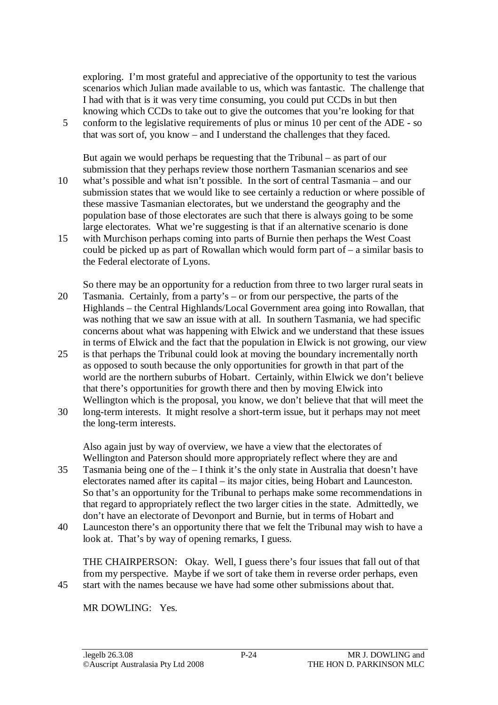exploring. I'm most grateful and appreciative of the opportunity to test the various scenarios which Julian made available to us, which was fantastic. The challenge that I had with that is it was very time consuming, you could put CCDs in but then knowing which CCDs to take out to give the outcomes that you're looking for that

5 conform to the legislative requirements of plus or minus 10 per cent of the ADE - so that was sort of, you know – and I understand the challenges that they faced.

But again we would perhaps be requesting that the Tribunal – as part of our submission that they perhaps review those northern Tasmanian scenarios and see 10 what's possible and what isn't possible. In the sort of central Tasmania – and our submission states that we would like to see certainly a reduction or where possible of these massive Tasmanian electorates, but we understand the geography and the

population base of those electorates are such that there is always going to be some

large electorates. What we're suggesting is that if an alternative scenario is done 15 with Murchison perhaps coming into parts of Burnie then perhaps the West Coast could be picked up as part of Rowallan which would form part of – a similar basis to the Federal electorate of Lyons.

So there may be an opportunity for a reduction from three to two larger rural seats in 20 Tasmania. Certainly, from a party's – or from our perspective, the parts of the Highlands – the Central Highlands/Local Government area going into Rowallan, that was nothing that we saw an issue with at all. In southern Tasmania, we had specific concerns about what was happening with Elwick and we understand that these issues in terms of Elwick and the fact that the population in Elwick is not growing, our view

- 25 is that perhaps the Tribunal could look at moving the boundary incrementally north as opposed to south because the only opportunities for growth in that part of the world are the northern suburbs of Hobart. Certainly, within Elwick we don't believe that there's opportunities for growth there and then by moving Elwick into Wellington which is the proposal, you know, we don't believe that that will meet the
- 30 long-term interests. It might resolve a short-term issue, but it perhaps may not meet the long-term interests.

Also again just by way of overview, we have a view that the electorates of Wellington and Paterson should more appropriately reflect where they are and

- 35 Tasmania being one of the I think it's the only state in Australia that doesn't have electorates named after its capital – its major cities, being Hobart and Launceston. So that's an opportunity for the Tribunal to perhaps make some recommendations in that regard to appropriately reflect the two larger cities in the state. Admittedly, we don't have an electorate of Devonport and Burnie, but in terms of Hobart and
- 40 Launceston there's an opportunity there that we felt the Tribunal may wish to have a look at. That's by way of opening remarks, I guess.

THE CHAIRPERSON: Okay. Well, I guess there's four issues that fall out of that from my perspective. Maybe if we sort of take them in reverse order perhaps, even 45 start with the names because we have had some other submissions about that.

MR DOWLING: Yes.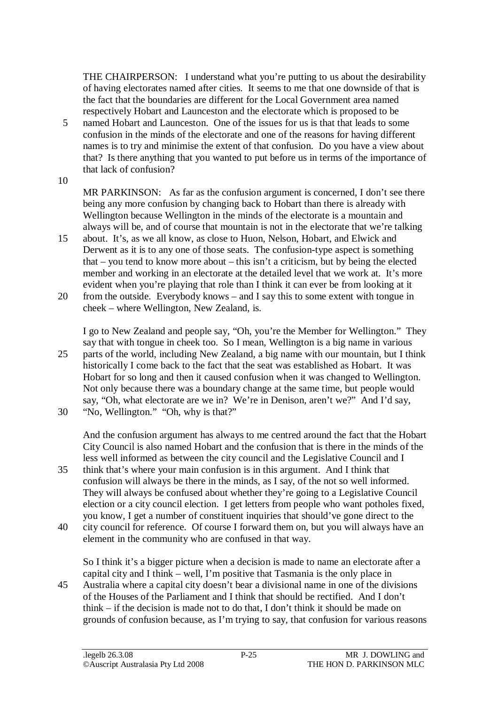THE CHAIRPERSON: I understand what you're putting to us about the desirability of having electorates named after cities. It seems to me that one downside of that is the fact that the boundaries are different for the Local Government area named respectively Hobart and Launceston and the electorate which is proposed to be

- 5 named Hobart and Launceston. One of the issues for us is that that leads to some confusion in the minds of the electorate and one of the reasons for having different names is to try and minimise the extent of that confusion. Do you have a view about that? Is there anything that you wanted to put before us in terms of the importance of that lack of confusion?
- 10

MR PARKINSON: As far as the confusion argument is concerned, I don't see there being any more confusion by changing back to Hobart than there is already with Wellington because Wellington in the minds of the electorate is a mountain and always will be, and of course that mountain is not in the electorate that we're talking

15 about. It's, as we all know, as close to Huon, Nelson, Hobart, and Elwick and Derwent as it is to any one of those seats. The confusion-type aspect is something that – you tend to know more about – this isn't a criticism, but by being the elected member and working in an electorate at the detailed level that we work at. It's more evident when you're playing that role than I think it can ever be from looking at it

20 from the outside. Everybody knows – and I say this to some extent with tongue in cheek – where Wellington, New Zealand, is.

I go to New Zealand and people say, "Oh, you're the Member for Wellington." They say that with tongue in cheek too. So I mean, Wellington is a big name in various 25 parts of the world, including New Zealand, a big name with our mountain, but I think historically I come back to the fact that the seat was established as Hobart. It was Hobart for so long and then it caused confusion when it was changed to Wellington. Not only because there was a boundary change at the same time, but people would say, "Oh, what electorate are we in? We're in Denison, aren't we?" And I'd say,

30 "No, Wellington." "Oh, why is that?"

And the confusion argument has always to me centred around the fact that the Hobart City Council is also named Hobart and the confusion that is there in the minds of the less well informed as between the city council and the Legislative Council and I

- 35 think that's where your main confusion is in this argument. And I think that confusion will always be there in the minds, as I say, of the not so well informed. They will always be confused about whether they're going to a Legislative Council election or a city council election. I get letters from people who want potholes fixed, you know, I get a number of constituent inquiries that should've gone direct to the
- 40 city council for reference. Of course I forward them on, but you will always have an element in the community who are confused in that way.

So I think it's a bigger picture when a decision is made to name an electorate after a capital city and I think – well, I'm positive that Tasmania is the only place in

45 Australia where a capital city doesn't bear a divisional name in one of the divisions of the Houses of the Parliament and I think that should be rectified. And I don't think – if the decision is made not to do that, I don't think it should be made on grounds of confusion because, as I'm trying to say, that confusion for various reasons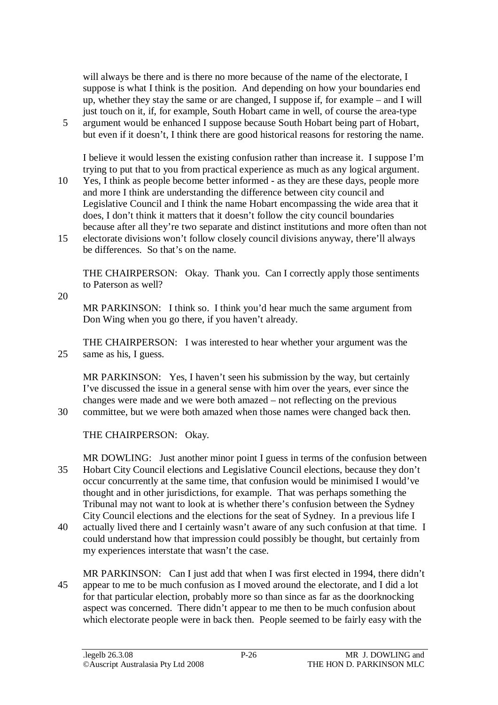will always be there and is there no more because of the name of the electorate, I suppose is what I think is the position. And depending on how your boundaries end up, whether they stay the same or are changed, I suppose if, for example – and I will just touch on it, if, for example, South Hobart came in well, of course the area-type

5 argument would be enhanced I suppose because South Hobart being part of Hobart, but even if it doesn't, I think there are good historical reasons for restoring the name.

I believe it would lessen the existing confusion rather than increase it. I suppose I'm trying to put that to you from practical experience as much as any logical argument.

- 10 Yes, I think as people become better informed as they are these days, people more and more I think are understanding the difference between city council and Legislative Council and I think the name Hobart encompassing the wide area that it does, I don't think it matters that it doesn't follow the city council boundaries because after all they're two separate and distinct institutions and more often than not
- 15 electorate divisions won't follow closely council divisions anyway, there'll always be differences. So that's on the name.

THE CHAIRPERSON: Okay. Thank you. Can I correctly apply those sentiments to Paterson as well?

20

MR PARKINSON: I think so. I think you'd hear much the same argument from Don Wing when you go there, if you haven't already.

THE CHAIRPERSON: I was interested to hear whether your argument was the 25 same as his, I guess.

MR PARKINSON: Yes, I haven't seen his submission by the way, but certainly I've discussed the issue in a general sense with him over the years, ever since the changes were made and we were both amazed – not reflecting on the previous 30 committee, but we were both amazed when those names were changed back then.

THE CHAIRPERSON: Okay.

MR DOWLING: Just another minor point I guess in terms of the confusion between 35 Hobart City Council elections and Legislative Council elections, because they don't occur concurrently at the same time, that confusion would be minimised I would've thought and in other jurisdictions, for example. That was perhaps something the Tribunal may not want to look at is whether there's confusion between the Sydney City Council elections and the elections for the seat of Sydney. In a previous life I

40 actually lived there and I certainly wasn't aware of any such confusion at that time. I could understand how that impression could possibly be thought, but certainly from my experiences interstate that wasn't the case.

MR PARKINSON: Can I just add that when I was first elected in 1994, there didn't 45 appear to me to be much confusion as I moved around the electorate, and I did a lot for that particular election, probably more so than since as far as the doorknocking aspect was concerned. There didn't appear to me then to be much confusion about which electorate people were in back then. People seemed to be fairly easy with the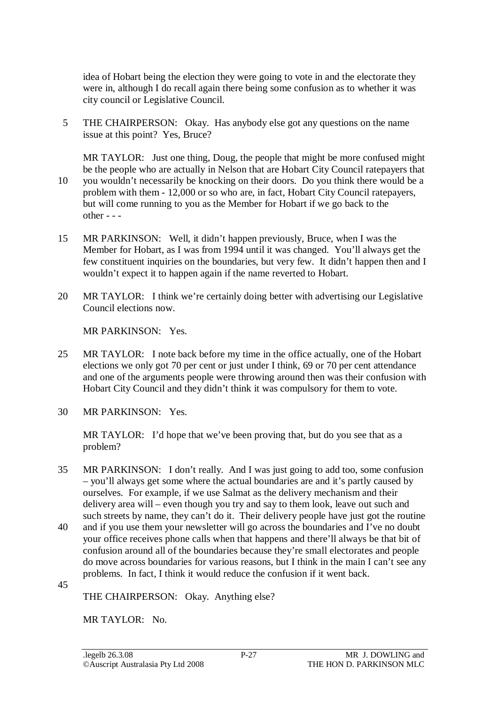idea of Hobart being the election they were going to vote in and the electorate they were in, although I do recall again there being some confusion as to whether it was city council or Legislative Council.

5 THE CHAIRPERSON: Okay. Has anybody else got any questions on the name issue at this point? Yes, Bruce?

MR TAYLOR: Just one thing, Doug, the people that might be more confused might be the people who are actually in Nelson that are Hobart City Council ratepayers that 10 you wouldn't necessarily be knocking on their doors. Do you think there would be a problem with them - 12,000 or so who are, in fact, Hobart City Council ratepayers, but will come running to you as the Member for Hobart if we go back to the other - - -

- 15 MR PARKINSON: Well, it didn't happen previously, Bruce, when I was the Member for Hobart, as I was from 1994 until it was changed. You'll always get the few constituent inquiries on the boundaries, but very few. It didn't happen then and I wouldn't expect it to happen again if the name reverted to Hobart.
- 20 MR TAYLOR: I think we're certainly doing better with advertising our Legislative Council elections now.

MR PARKINSON: Yes.

- 25 MR TAYLOR: I note back before my time in the office actually, one of the Hobart elections we only got 70 per cent or just under I think, 69 or 70 per cent attendance and one of the arguments people were throwing around then was their confusion with Hobart City Council and they didn't think it was compulsory for them to vote.
- 30 MR PARKINSON: Yes.

MR TAYLOR: I'd hope that we've been proving that, but do you see that as a problem?

- 35 MR PARKINSON: I don't really. And I was just going to add too, some confusion – you'll always get some where the actual boundaries are and it's partly caused by ourselves. For example, if we use Salmat as the delivery mechanism and their delivery area will – even though you try and say to them look, leave out such and such streets by name, they can't do it. Their delivery people have just got the routine
- 40 and if you use them your newsletter will go across the boundaries and I've no doubt your office receives phone calls when that happens and there'll always be that bit of confusion around all of the boundaries because they're small electorates and people do move across boundaries for various reasons, but I think in the main I can't see any problems. In fact, I think it would reduce the confusion if it went back.
- 45

THE CHAIRPERSON: Okay. Anything else?

MR TAYLOR: No.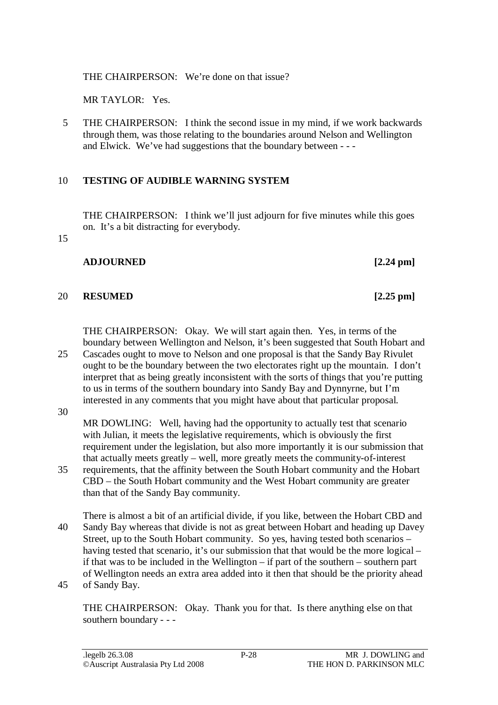THE CHAIRPERSON: We're done on that issue?

MR TAYLOR: Yes.

5 THE CHAIRPERSON: I think the second issue in my mind, if we work backwards through them, was those relating to the boundaries around Nelson and Wellington and Elwick. We've had suggestions that the boundary between - - -

# 10 **TESTING OF AUDIBLE WARNING SYSTEM**

THE CHAIRPERSON: I think we'll just adjourn for five minutes while this goes on. It's a bit distracting for everybody.

15

### **ADJOURNED [2.24 pm]**

## 20 **RESUMED [2.25 pm]**

THE CHAIRPERSON: Okay. We will start again then. Yes, in terms of the boundary between Wellington and Nelson, it's been suggested that South Hobart and

25 Cascades ought to move to Nelson and one proposal is that the Sandy Bay Rivulet ought to be the boundary between the two electorates right up the mountain. I don't interpret that as being greatly inconsistent with the sorts of things that you're putting to us in terms of the southern boundary into Sandy Bay and Dynnyrne, but I'm interested in any comments that you might have about that particular proposal.

30

MR DOWLING: Well, having had the opportunity to actually test that scenario with Julian, it meets the legislative requirements, which is obviously the first requirement under the legislation, but also more importantly it is our submission that that actually meets greatly – well, more greatly meets the community-of-interest

- 35 requirements, that the affinity between the South Hobart community and the Hobart CBD – the South Hobart community and the West Hobart community are greater than that of the Sandy Bay community.
- There is almost a bit of an artificial divide, if you like, between the Hobart CBD and 40 Sandy Bay whereas that divide is not as great between Hobart and heading up Davey Street, up to the South Hobart community. So yes, having tested both scenarios – having tested that scenario, it's our submission that that would be the more logical – if that was to be included in the Wellington – if part of the southern – southern part of Wellington needs an extra area added into it then that should be the priority ahead 45 of Sandy Bay.

THE CHAIRPERSON: Okay. Thank you for that. Is there anything else on that southern boundary - - -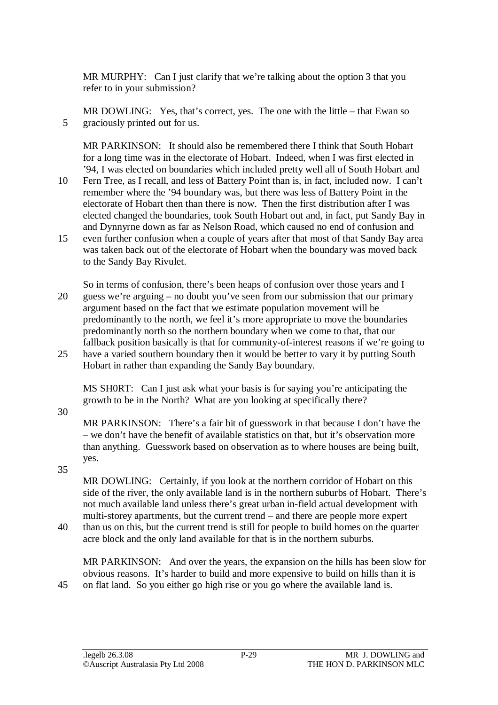MR MURPHY: Can I just clarify that we're talking about the option 3 that you refer to in your submission?

MR DOWLING: Yes, that's correct, yes. The one with the little – that Ewan so 5 graciously printed out for us.

MR PARKINSON: It should also be remembered there I think that South Hobart for a long time was in the electorate of Hobart. Indeed, when I was first elected in '94, I was elected on boundaries which included pretty well all of South Hobart and

- 10 Fern Tree, as I recall, and less of Battery Point than is, in fact, included now. I can't remember where the '94 boundary was, but there was less of Battery Point in the electorate of Hobart then than there is now. Then the first distribution after I was elected changed the boundaries, took South Hobart out and, in fact, put Sandy Bay in and Dynnyrne down as far as Nelson Road, which caused no end of confusion and
- 15 even further confusion when a couple of years after that most of that Sandy Bay area was taken back out of the electorate of Hobart when the boundary was moved back to the Sandy Bay Rivulet.
- So in terms of confusion, there's been heaps of confusion over those years and I 20 guess we're arguing – no doubt you've seen from our submission that our primary argument based on the fact that we estimate population movement will be predominantly to the north, we feel it's more appropriate to move the boundaries predominantly north so the northern boundary when we come to that, that our fallback position basically is that for community-of-interest reasons if we're going to
- 25 have a varied southern boundary then it would be better to vary it by putting South Hobart in rather than expanding the Sandy Bay boundary.

MS SH0RT: Can I just ask what your basis is for saying you're anticipating the growth to be in the North? What are you looking at specifically there?

30

MR PARKINSON: There's a fair bit of guesswork in that because I don't have the – we don't have the benefit of available statistics on that, but it's observation more than anything. Guesswork based on observation as to where houses are being built, yes.

35

MR DOWLING: Certainly, if you look at the northern corridor of Hobart on this side of the river, the only available land is in the northern suburbs of Hobart. There's not much available land unless there's great urban in-field actual development with multi-storey apartments, but the current trend – and there are people more expert

40 than us on this, but the current trend is still for people to build homes on the quarter acre block and the only land available for that is in the northern suburbs.

MR PARKINSON: And over the years, the expansion on the hills has been slow for obvious reasons. It's harder to build and more expensive to build on hills than it is 45 on flat land. So you either go high rise or you go where the available land is.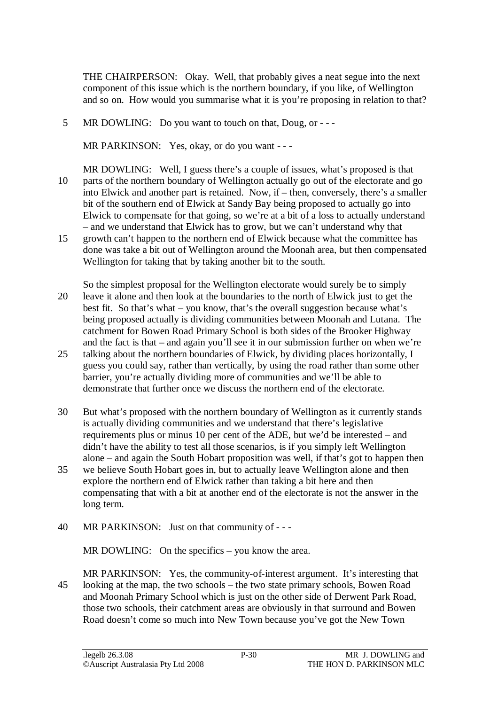THE CHAIRPERSON: Okay. Well, that probably gives a neat segue into the next component of this issue which is the northern boundary, if you like, of Wellington and so on. How would you summarise what it is you're proposing in relation to that?

5 MR DOWLING: Do you want to touch on that, Doug, or - - -

MR PARKINSON: Yes, okay, or do you want - - -

- MR DOWLING: Well, I guess there's a couple of issues, what's proposed is that 10 parts of the northern boundary of Wellington actually go out of the electorate and go into Elwick and another part is retained. Now, if – then, conversely, there's a smaller bit of the southern end of Elwick at Sandy Bay being proposed to actually go into Elwick to compensate for that going, so we're at a bit of a loss to actually understand – and we understand that Elwick has to grow, but we can't understand why that
- 15 growth can't happen to the northern end of Elwick because what the committee has done was take a bit out of Wellington around the Moonah area, but then compensated Wellington for taking that by taking another bit to the south.
- So the simplest proposal for the Wellington electorate would surely be to simply 20 leave it alone and then look at the boundaries to the north of Elwick just to get the best fit. So that's what – you know, that's the overall suggestion because what's being proposed actually is dividing communities between Moonah and Lutana. The catchment for Bowen Road Primary School is both sides of the Brooker Highway and the fact is that – and again you'll see it in our submission further on when we're
- 25 talking about the northern boundaries of Elwick, by dividing places horizontally, I guess you could say, rather than vertically, by using the road rather than some other barrier, you're actually dividing more of communities and we'll be able to demonstrate that further once we discuss the northern end of the electorate.
- 30 But what's proposed with the northern boundary of Wellington as it currently stands is actually dividing communities and we understand that there's legislative requirements plus or minus 10 per cent of the ADE, but we'd be interested – and didn't have the ability to test all those scenarios, is if you simply left Wellington alone – and again the South Hobart proposition was well, if that's got to happen then
- 35 we believe South Hobart goes in, but to actually leave Wellington alone and then explore the northern end of Elwick rather than taking a bit here and then compensating that with a bit at another end of the electorate is not the answer in the long term.
- 40 MR PARKINSON: Just on that community of - -

MR DOWLING: On the specifics – you know the area.

MR PARKINSON: Yes, the community-of-interest argument. It's interesting that 45 looking at the map, the two schools – the two state primary schools, Bowen Road and Moonah Primary School which is just on the other side of Derwent Park Road, those two schools, their catchment areas are obviously in that surround and Bowen Road doesn't come so much into New Town because you've got the New Town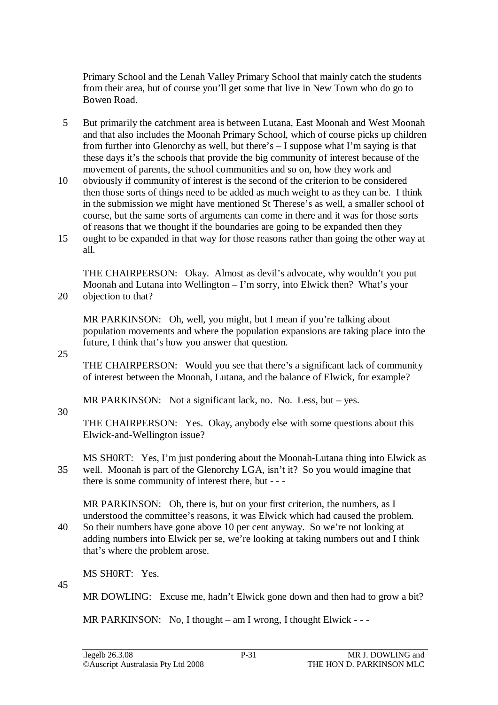Primary School and the Lenah Valley Primary School that mainly catch the students from their area, but of course you'll get some that live in New Town who do go to Bowen Road.

- 5 But primarily the catchment area is between Lutana, East Moonah and West Moonah and that also includes the Moonah Primary School, which of course picks up children from further into Glenorchy as well, but there's – I suppose what I'm saying is that these days it's the schools that provide the big community of interest because of the movement of parents, the school communities and so on, how they work and
- 10 obviously if community of interest is the second of the criterion to be considered then those sorts of things need to be added as much weight to as they can be. I think in the submission we might have mentioned St Therese's as well, a smaller school of course, but the same sorts of arguments can come in there and it was for those sorts of reasons that we thought if the boundaries are going to be expanded then they
- 15 ought to be expanded in that way for those reasons rather than going the other way at all.

THE CHAIRPERSON: Okay. Almost as devil's advocate, why wouldn't you put Moonah and Lutana into Wellington – I'm sorry, into Elwick then? What's your 20 objection to that?

MR PARKINSON: Oh, well, you might, but I mean if you're talking about population movements and where the population expansions are taking place into the future, I think that's how you answer that question.

25

THE CHAIRPERSON: Would you see that there's a significant lack of community of interest between the Moonah, Lutana, and the balance of Elwick, for example?

MR PARKINSON: Not a significant lack, no. No. Less, but – yes.

30

THE CHAIRPERSON: Yes. Okay, anybody else with some questions about this Elwick-and-Wellington issue?

MS SH0RT: Yes, I'm just pondering about the Moonah-Lutana thing into Elwick as 35 well. Moonah is part of the Glenorchy LGA, isn't it? So you would imagine that there is some community of interest there, but - - -

MR PARKINSON: Oh, there is, but on your first criterion, the numbers, as I understood the committee's reasons, it was Elwick which had caused the problem.

40 So their numbers have gone above 10 per cent anyway. So we're not looking at adding numbers into Elwick per se, we're looking at taking numbers out and I think that's where the problem arose.

MS SH0RT: Yes.

45

MR DOWLING: Excuse me, hadn't Elwick gone down and then had to grow a bit?

MR PARKINSON: No, I thought – am I wrong, I thought Elwick - --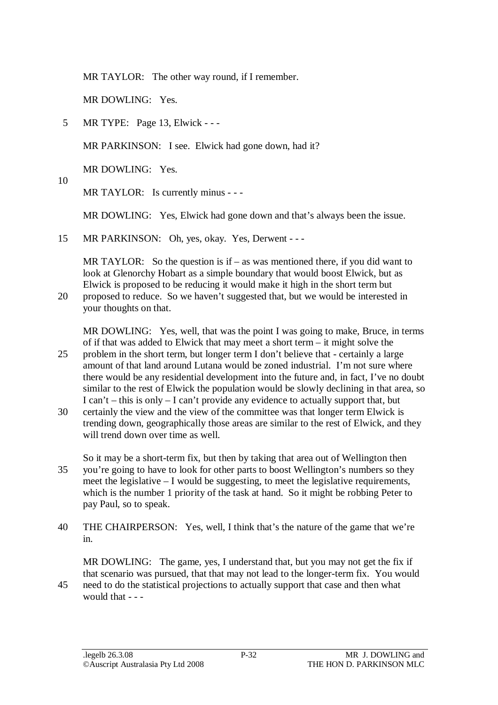MR TAYLOR: The other way round, if I remember.

MR DOWLING: Yes.

5 MR TYPE: Page 13, Elwick - - -

MR PARKINSON: I see. Elwick had gone down, had it?

MR DOWLING: Yes.

10

MR TAYLOR: Is currently minus - - -

MR DOWLING: Yes, Elwick had gone down and that's always been the issue.

15 MR PARKINSON: Oh, yes, okay. Yes, Derwent - - -

MR TAYLOR: So the question is if – as was mentioned there, if you did want to look at Glenorchy Hobart as a simple boundary that would boost Elwick, but as Elwick is proposed to be reducing it would make it high in the short term but

20 proposed to reduce. So we haven't suggested that, but we would be interested in your thoughts on that.

MR DOWLING: Yes, well, that was the point I was going to make, Bruce, in terms of if that was added to Elwick that may meet a short term – it might solve the

- 25 problem in the short term, but longer term I don't believe that certainly a large amount of that land around Lutana would be zoned industrial. I'm not sure where there would be any residential development into the future and, in fact, I've no doubt similar to the rest of Elwick the population would be slowly declining in that area, so I can't – this is only – I can't provide any evidence to actually support that, but
- 30 certainly the view and the view of the committee was that longer term Elwick is trending down, geographically those areas are similar to the rest of Elwick, and they will trend down over time as well.
- So it may be a short-term fix, but then by taking that area out of Wellington then 35 you're going to have to look for other parts to boost Wellington's numbers so they meet the legislative – I would be suggesting, to meet the legislative requirements, which is the number 1 priority of the task at hand. So it might be robbing Peter to pay Paul, so to speak.
- 40 THE CHAIRPERSON: Yes, well, I think that's the nature of the game that we're in.

MR DOWLING: The game, yes, I understand that, but you may not get the fix if that scenario was pursued, that that may not lead to the longer-term fix. You would 45 need to do the statistical projections to actually support that case and then what would that - - -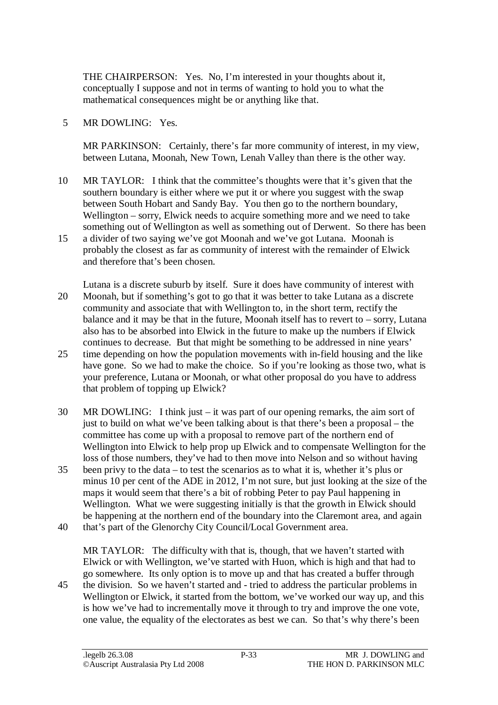THE CHAIRPERSON: Yes. No, I'm interested in your thoughts about it, conceptually I suppose and not in terms of wanting to hold you to what the mathematical consequences might be or anything like that.

### 5 MR DOWLING: Yes.

MR PARKINSON: Certainly, there's far more community of interest, in my view, between Lutana, Moonah, New Town, Lenah Valley than there is the other way.

- 10 MR TAYLOR: I think that the committee's thoughts were that it's given that the southern boundary is either where we put it or where you suggest with the swap between South Hobart and Sandy Bay. You then go to the northern boundary, Wellington – sorry, Elwick needs to acquire something more and we need to take something out of Wellington as well as something out of Derwent. So there has been
- 15 a divider of two saying we've got Moonah and we've got Lutana. Moonah is probably the closest as far as community of interest with the remainder of Elwick and therefore that's been chosen.
- Lutana is a discrete suburb by itself. Sure it does have community of interest with 20 Moonah, but if something's got to go that it was better to take Lutana as a discrete community and associate that with Wellington to, in the short term, rectify the balance and it may be that in the future, Moonah itself has to revert to – sorry, Lutana also has to be absorbed into Elwick in the future to make up the numbers if Elwick continues to decrease. But that might be something to be addressed in nine years'
- 25 time depending on how the population movements with in-field housing and the like have gone. So we had to make the choice. So if you're looking as those two, what is your preference, Lutana or Moonah, or what other proposal do you have to address that problem of topping up Elwick?
- 30 MR DOWLING: I think just it was part of our opening remarks, the aim sort of just to build on what we've been talking about is that there's been a proposal – the committee has come up with a proposal to remove part of the northern end of Wellington into Elwick to help prop up Elwick and to compensate Wellington for the loss of those numbers, they've had to then move into Nelson and so without having
- 35 been privy to the data to test the scenarios as to what it is, whether it's plus or minus 10 per cent of the ADE in 2012, I'm not sure, but just looking at the size of the maps it would seem that there's a bit of robbing Peter to pay Paul happening in Wellington. What we were suggesting initially is that the growth in Elwick should be happening at the northern end of the boundary into the Claremont area, and again
- 40 that's part of the Glenorchy City Council/Local Government area.

MR TAYLOR: The difficulty with that is, though, that we haven't started with Elwick or with Wellington, we've started with Huon, which is high and that had to go somewhere. Its only option is to move up and that has created a buffer through

45 the division. So we haven't started and - tried to address the particular problems in Wellington or Elwick, it started from the bottom, we've worked our way up, and this is how we've had to incrementally move it through to try and improve the one vote, one value, the equality of the electorates as best we can. So that's why there's been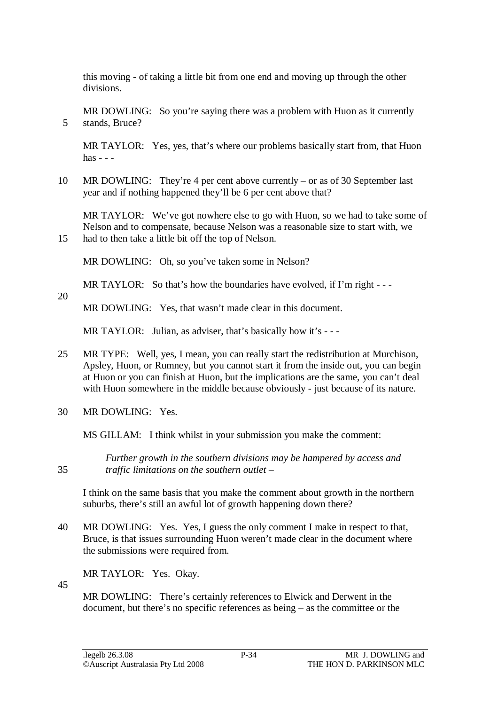this moving - of taking a little bit from one end and moving up through the other divisions.

MR DOWLING: So you're saying there was a problem with Huon as it currently 5 stands, Bruce?

MR TAYLOR: Yes, yes, that's where our problems basically start from, that Huon  $has - -$ 

10 MR DOWLING: They're 4 per cent above currently – or as of 30 September last year and if nothing happened they'll be 6 per cent above that?

MR TAYLOR: We've got nowhere else to go with Huon, so we had to take some of Nelson and to compensate, because Nelson was a reasonable size to start with, we 15 had to then take a little bit off the top of Nelson.

MR DOWLING: Oh, so you've taken some in Nelson?

MR TAYLOR: So that's how the boundaries have evolved, if I'm right - - -

MR DOWLING: Yes, that wasn't made clear in this document.

MR TAYLOR: Julian, as adviser, that's basically how it's ---

- 25 MR TYPE: Well, yes, I mean, you can really start the redistribution at Murchison, Apsley, Huon, or Rumney, but you cannot start it from the inside out, you can begin at Huon or you can finish at Huon, but the implications are the same, you can't deal with Huon somewhere in the middle because obviously - just because of its nature.
- 30 MR DOWLING: Yes.

MS GILLAM: I think whilst in your submission you make the comment:

*Further growth in the southern divisions may be hampered by access and*  35 *traffic limitations on the southern outlet –* 

I think on the same basis that you make the comment about growth in the northern suburbs, there's still an awful lot of growth happening down there?

40 MR DOWLING: Yes. Yes, I guess the only comment I make in respect to that, Bruce, is that issues surrounding Huon weren't made clear in the document where the submissions were required from.

MR TAYLOR: Yes. Okay.

45

20

MR DOWLING: There's certainly references to Elwick and Derwent in the document, but there's no specific references as being – as the committee or the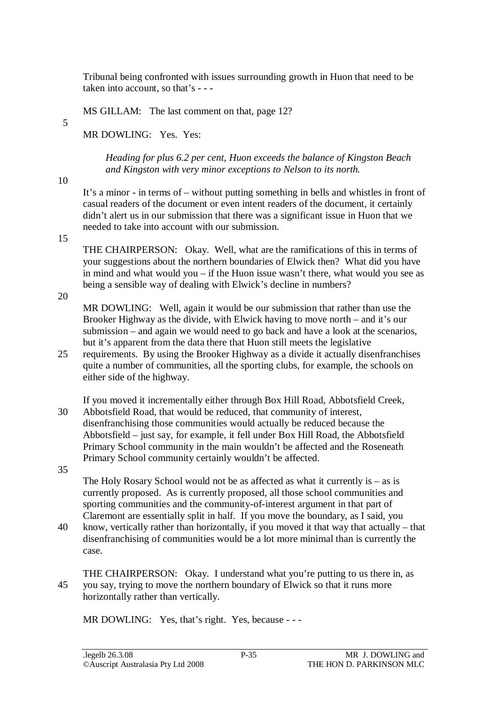Tribunal being confronted with issues surrounding growth in Huon that need to be taken into account, so that's - - -

MS GILLAM: The last comment on that, page 12?

5

MR DOWLING: Yes. Yes:

*Heading for plus 6.2 per cent, Huon exceeds the balance of Kingston Beach and Kingston with very minor exceptions to Nelson to its north.* 

10

It's a minor - in terms of – without putting something in bells and whistles in front of casual readers of the document or even intent readers of the document, it certainly didn't alert us in our submission that there was a significant issue in Huon that we needed to take into account with our submission.

15

THE CHAIRPERSON: Okay. Well, what are the ramifications of this in terms of your suggestions about the northern boundaries of Elwick then? What did you have in mind and what would you – if the Huon issue wasn't there, what would you see as being a sensible way of dealing with Elwick's decline in numbers?

20

MR DOWLING: Well, again it would be our submission that rather than use the Brooker Highway as the divide, with Elwick having to move north – and it's our submission – and again we would need to go back and have a look at the scenarios, but it's apparent from the data there that Huon still meets the legislative

25 requirements. By using the Brooker Highway as a divide it actually disenfranchises quite a number of communities, all the sporting clubs, for example, the schools on either side of the highway.

If you moved it incrementally either through Box Hill Road, Abbotsfield Creek, 30 Abbotsfield Road, that would be reduced, that community of interest, disenfranchising those communities would actually be reduced because the Abbotsfield – just say, for example, it fell under Box Hill Road, the Abbotsfield Primary School community in the main wouldn't be affected and the Roseneath Primary School community certainly wouldn't be affected.

35

The Holy Rosary School would not be as affected as what it currently is  $-$  as is currently proposed. As is currently proposed, all those school communities and sporting communities and the community-of-interest argument in that part of Claremont are essentially split in half. If you move the boundary, as I said, you

- 40 know, vertically rather than horizontally, if you moved it that way that actually that disenfranchising of communities would be a lot more minimal than is currently the case.
- THE CHAIRPERSON: Okay. I understand what you're putting to us there in, as 45 you say, trying to move the northern boundary of Elwick so that it runs more horizontally rather than vertically.

MR DOWLING: Yes, that's right. Yes, because - - -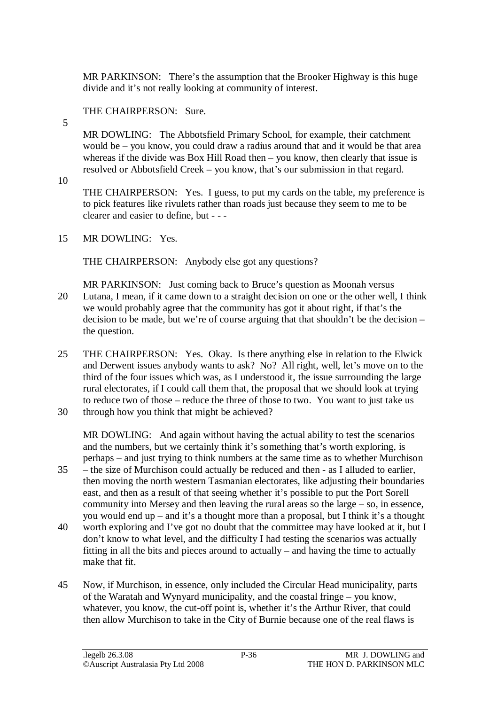MR PARKINSON: There's the assumption that the Brooker Highway is this huge divide and it's not really looking at community of interest.

# THE CHAIRPERSON: Sure.

MR DOWLING: The Abbotsfield Primary School, for example, their catchment would be – you know, you could draw a radius around that and it would be that area whereas if the divide was Box Hill Road then – you know, then clearly that issue is resolved or Abbotsfield Creek – you know, that's our submission in that regard.

10

5

THE CHAIRPERSON: Yes. I guess, to put my cards on the table, my preference is to pick features like rivulets rather than roads just because they seem to me to be clearer and easier to define, but - - -

15 MR DOWLING: Yes.

THE CHAIRPERSON: Anybody else got any questions?

- MR PARKINSON: Just coming back to Bruce's question as Moonah versus 20 Lutana, I mean, if it came down to a straight decision on one or the other well, I think we would probably agree that the community has got it about right, if that's the decision to be made, but we're of course arguing that that shouldn't be the decision – the question.
- 25 THE CHAIRPERSON: Yes. Okay. Is there anything else in relation to the Elwick and Derwent issues anybody wants to ask? No? All right, well, let's move on to the third of the four issues which was, as I understood it, the issue surrounding the large rural electorates, if I could call them that, the proposal that we should look at trying to reduce two of those – reduce the three of those to two. You want to just take us
- 30 through how you think that might be achieved?

MR DOWLING: And again without having the actual ability to test the scenarios and the numbers, but we certainly think it's something that's worth exploring, is perhaps – and just trying to think numbers at the same time as to whether Murchison

- 35 the size of Murchison could actually be reduced and then as I alluded to earlier, then moving the north western Tasmanian electorates, like adjusting their boundaries east, and then as a result of that seeing whether it's possible to put the Port Sorell community into Mersey and then leaving the rural areas so the large – so, in essence, you would end up – and it's a thought more than a proposal, but I think it's a thought
- 40 worth exploring and I've got no doubt that the committee may have looked at it, but I don't know to what level, and the difficulty I had testing the scenarios was actually fitting in all the bits and pieces around to actually – and having the time to actually make that fit.
- 45 Now, if Murchison, in essence, only included the Circular Head municipality, parts of the Waratah and Wynyard municipality, and the coastal fringe – you know, whatever, you know, the cut-off point is, whether it's the Arthur River, that could then allow Murchison to take in the City of Burnie because one of the real flaws is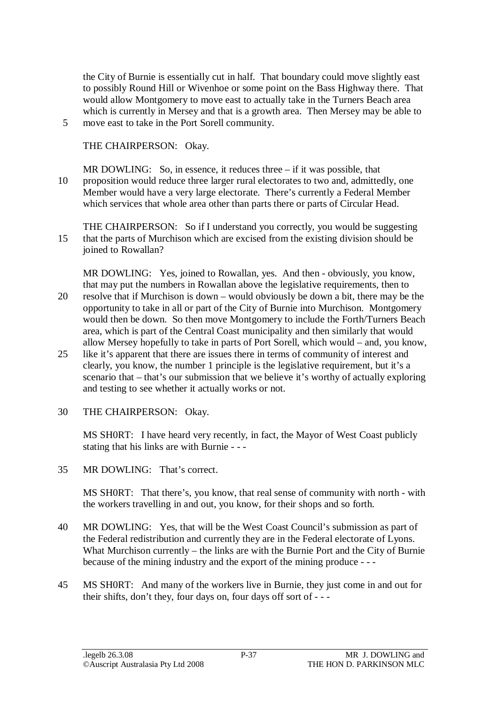the City of Burnie is essentially cut in half. That boundary could move slightly east to possibly Round Hill or Wivenhoe or some point on the Bass Highway there. That would allow Montgomery to move east to actually take in the Turners Beach area which is currently in Mersey and that is a growth area. Then Mersey may be able to 5 move east to take in the Port Sorell community.

THE CHAIRPERSON: Okay.

MR DOWLING: So, in essence, it reduces three – if it was possible, that 10 proposition would reduce three larger rural electorates to two and, admittedly, one Member would have a very large electorate. There's currently a Federal Member which services that whole area other than parts there or parts of Circular Head.

THE CHAIRPERSON: So if I understand you correctly, you would be suggesting 15 that the parts of Murchison which are excised from the existing division should be joined to Rowallan?

MR DOWLING: Yes, joined to Rowallan, yes. And then - obviously, you know, that may put the numbers in Rowallan above the legislative requirements, then to 20 resolve that if Murchison is down – would obviously be down a bit, there may be the opportunity to take in all or part of the City of Burnie into Murchison. Montgomery would then be down. So then move Montgomery to include the Forth/Turners Beach area, which is part of the Central Coast municipality and then similarly that would

- allow Mersey hopefully to take in parts of Port Sorell, which would and, you know, 25 like it's apparent that there are issues there in terms of community of interest and clearly, you know, the number 1 principle is the legislative requirement, but it's a scenario that – that's our submission that we believe it's worthy of actually exploring and testing to see whether it actually works or not.
- 30 THE CHAIRPERSON: Okay.

MS SH0RT: I have heard very recently, in fact, the Mayor of West Coast publicly stating that his links are with Burnie - - -

35 MR DOWLING: That's correct.

MS SH0RT: That there's, you know, that real sense of community with north - with the workers travelling in and out, you know, for their shops and so forth.

- 40 MR DOWLING: Yes, that will be the West Coast Council's submission as part of the Federal redistribution and currently they are in the Federal electorate of Lyons. What Murchison currently – the links are with the Burnie Port and the City of Burnie because of the mining industry and the export of the mining produce - - -
- 45 MS SH0RT: And many of the workers live in Burnie, they just come in and out for their shifts, don't they, four days on, four days off sort of - - -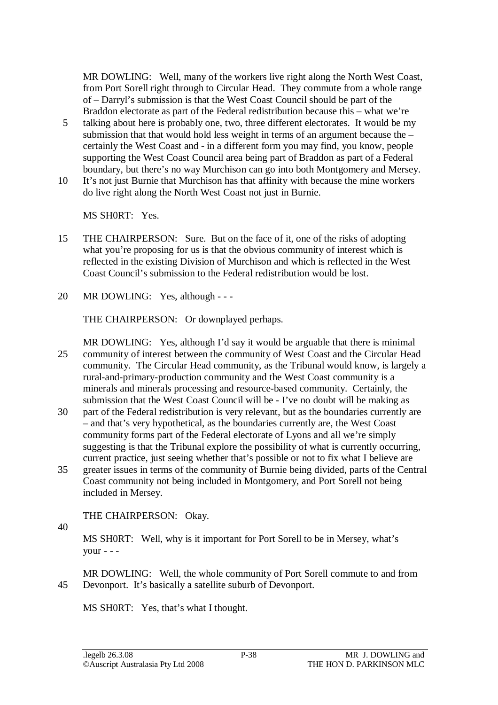MR DOWLING: Well, many of the workers live right along the North West Coast, from Port Sorell right through to Circular Head. They commute from a whole range of – Darryl's submission is that the West Coast Council should be part of the Braddon electorate as part of the Federal redistribution because this – what we're

- 5 talking about here is probably one, two, three different electorates. It would be my submission that that would hold less weight in terms of an argument because the – certainly the West Coast and - in a different form you may find, you know, people supporting the West Coast Council area being part of Braddon as part of a Federal boundary, but there's no way Murchison can go into both Montgomery and Mersey.
- 10 It's not just Burnie that Murchison has that affinity with because the mine workers do live right along the North West Coast not just in Burnie.

MS SH0RT: Yes.

- 15 THE CHAIRPERSON: Sure. But on the face of it, one of the risks of adopting what you're proposing for us is that the obvious community of interest which is reflected in the existing Division of Murchison and which is reflected in the West Coast Council's submission to the Federal redistribution would be lost.
- 20 MR DOWLING: Yes, although - -

THE CHAIRPERSON: Or downplayed perhaps.

MR DOWLING: Yes, although I'd say it would be arguable that there is minimal 25 community of interest between the community of West Coast and the Circular Head community. The Circular Head community, as the Tribunal would know, is largely a rural-and-primary-production community and the West Coast community is a minerals and minerals processing and resource-based community. Certainly, the submission that the West Coast Council will be - I've no doubt will be making as

- 30 part of the Federal redistribution is very relevant, but as the boundaries currently are – and that's very hypothetical, as the boundaries currently are, the West Coast community forms part of the Federal electorate of Lyons and all we're simply suggesting is that the Tribunal explore the possibility of what is currently occurring, current practice, just seeing whether that's possible or not to fix what I believe are
- 35 greater issues in terms of the community of Burnie being divided, parts of the Central Coast community not being included in Montgomery, and Port Sorell not being included in Mersey.

THE CHAIRPERSON: Okay.

40

MS SH0RT: Well, why is it important for Port Sorell to be in Mersey, what's your  $- -$ 

MR DOWLING: Well, the whole community of Port Sorell commute to and from 45 Devonport. It's basically a satellite suburb of Devonport.

MS SH0RT: Yes, that's what I thought.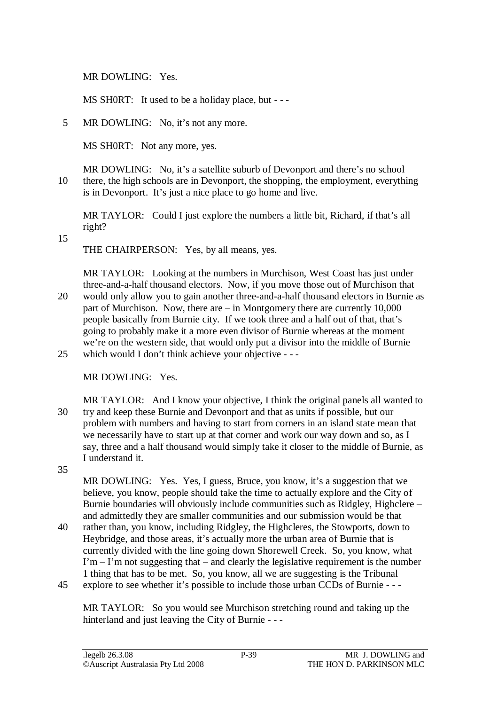MR DOWLING: Yes.

MS SH0RT: It used to be a holiday place, but - --

5 MR DOWLING: No, it's not any more.

MS SH0RT: Not any more, yes.

MR DOWLING: No, it's a satellite suburb of Devonport and there's no school 10 there, the high schools are in Devonport, the shopping, the employment, everything is in Devonport. It's just a nice place to go home and live.

MR TAYLOR: Could I just explore the numbers a little bit, Richard, if that's all right?

15

THE CHAIRPERSON: Yes, by all means, yes.

MR TAYLOR: Looking at the numbers in Murchison, West Coast has just under three-and-a-half thousand electors. Now, if you move those out of Murchison that 20 would only allow you to gain another three-and-a-half thousand electors in Burnie as part of Murchison. Now, there are – in Montgomery there are currently 10,000 people basically from Burnie city. If we took three and a half out of that, that's going to probably make it a more even divisor of Burnie whereas at the moment we're on the western side, that would only put a divisor into the middle of Burnie 25 which would I don't think achieve your objective - - -

MR DOWLING: Yes.

- MR TAYLOR: And I know your objective, I think the original panels all wanted to 30 try and keep these Burnie and Devonport and that as units if possible, but our problem with numbers and having to start from corners in an island state mean that we necessarily have to start up at that corner and work our way down and so, as I say, three and a half thousand would simply take it closer to the middle of Burnie, as I understand it.
- 35

MR DOWLING: Yes. Yes, I guess, Bruce, you know, it's a suggestion that we believe, you know, people should take the time to actually explore and the City of Burnie boundaries will obviously include communities such as Ridgley, Highclere – and admittedly they are smaller communities and our submission would be that

- 40 rather than, you know, including Ridgley, the Highcleres, the Stowports, down to Heybridge, and those areas, it's actually more the urban area of Burnie that is currently divided with the line going down Shorewell Creek. So, you know, what  $\Gamma$ m –  $\Gamma$ m not suggesting that – and clearly the legislative requirement is the number 1 thing that has to be met. So, you know, all we are suggesting is the Tribunal
- 45 explore to see whether it's possible to include those urban CCDs of Burnie - -

MR TAYLOR: So you would see Murchison stretching round and taking up the hinterland and just leaving the City of Burnie - - -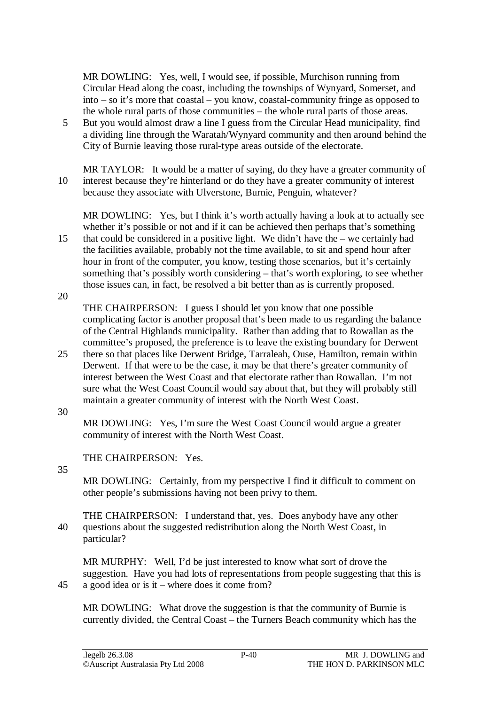MR DOWLING: Yes, well, I would see, if possible, Murchison running from Circular Head along the coast, including the townships of Wynyard, Somerset, and into – so it's more that coastal – you know, coastal-community fringe as opposed to the whole rural parts of those communities – the whole rural parts of those areas.

5 But you would almost draw a line I guess from the Circular Head municipality, find a dividing line through the Waratah/Wynyard community and then around behind the City of Burnie leaving those rural-type areas outside of the electorate.

MR TAYLOR: It would be a matter of saying, do they have a greater community of 10 interest because they're hinterland or do they have a greater community of interest because they associate with Ulverstone, Burnie, Penguin, whatever?

MR DOWLING: Yes, but I think it's worth actually having a look at to actually see whether it's possible or not and if it can be achieved then perhaps that's something 15 that could be considered in a positive light. We didn't have the – we certainly had the facilities available, probably not the time available, to sit and spend hour after hour in front of the computer, you know, testing those scenarios, but it's certainly something that's possibly worth considering – that's worth exploring, to see whether those issues can, in fact, be resolved a bit better than as is currently proposed.

20

THE CHAIRPERSON: I guess I should let you know that one possible complicating factor is another proposal that's been made to us regarding the balance of the Central Highlands municipality. Rather than adding that to Rowallan as the committee's proposed, the preference is to leave the existing boundary for Derwent

- 25 there so that places like Derwent Bridge, Tarraleah, Ouse, Hamilton, remain within Derwent. If that were to be the case, it may be that there's greater community of interest between the West Coast and that electorate rather than Rowallan. I'm not sure what the West Coast Council would say about that, but they will probably still maintain a greater community of interest with the North West Coast.
- 30

MR DOWLING: Yes, I'm sure the West Coast Council would argue a greater community of interest with the North West Coast.

THE CHAIRPERSON: Yes.

35

MR DOWLING: Certainly, from my perspective I find it difficult to comment on other people's submissions having not been privy to them.

THE CHAIRPERSON: I understand that, yes. Does anybody have any other 40 questions about the suggested redistribution along the North West Coast, in particular?

MR MURPHY: Well, I'd be just interested to know what sort of drove the suggestion. Have you had lots of representations from people suggesting that this is 45 a good idea or is it – where does it come from?

MR DOWLING: What drove the suggestion is that the community of Burnie is currently divided, the Central Coast – the Turners Beach community which has the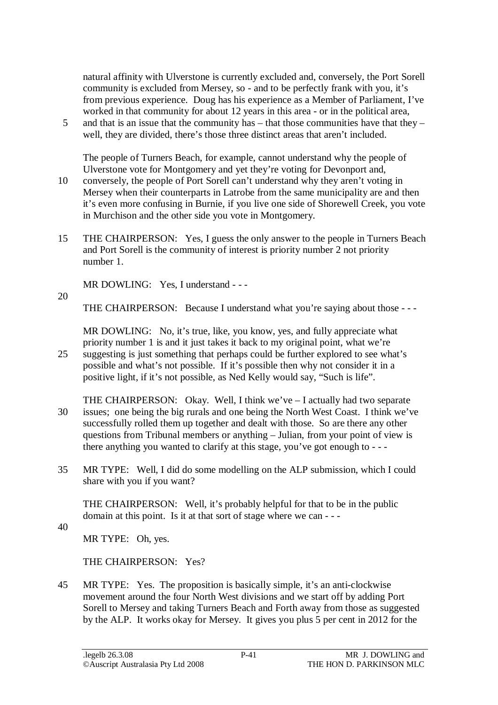natural affinity with Ulverstone is currently excluded and, conversely, the Port Sorell community is excluded from Mersey, so - and to be perfectly frank with you, it's from previous experience. Doug has his experience as a Member of Parliament, I've worked in that community for about 12 years in this area - or in the political area,

5 and that is an issue that the community has – that those communities have that they – well, they are divided, there's those three distinct areas that aren't included.

The people of Turners Beach, for example, cannot understand why the people of Ulverstone vote for Montgomery and yet they're voting for Devonport and,

- 10 conversely, the people of Port Sorell can't understand why they aren't voting in Mersey when their counterparts in Latrobe from the same municipality are and then it's even more confusing in Burnie, if you live one side of Shorewell Creek, you vote in Murchison and the other side you vote in Montgomery.
- 15 THE CHAIRPERSON: Yes, I guess the only answer to the people in Turners Beach and Port Sorell is the community of interest is priority number 2 not priority number 1.

MR DOWLING: Yes, I understand - - -

20

THE CHAIRPERSON: Because I understand what you're saying about those - - -

MR DOWLING: No, it's true, like, you know, yes, and fully appreciate what priority number 1 is and it just takes it back to my original point, what we're 25 suggesting is just something that perhaps could be further explored to see what's

- possible and what's not possible. If it's possible then why not consider it in a positive light, if it's not possible, as Ned Kelly would say, "Such is life".
- THE CHAIRPERSON: Okay. Well, I think we've I actually had two separate 30 issues; one being the big rurals and one being the North West Coast. I think we've successfully rolled them up together and dealt with those. So are there any other questions from Tribunal members or anything – Julian, from your point of view is there anything you wanted to clarify at this stage, you've got enough to - - -
- 35 MR TYPE: Well, I did do some modelling on the ALP submission, which I could share with you if you want?

THE CHAIRPERSON: Well, it's probably helpful for that to be in the public domain at this point. Is it at that sort of stage where we can - - -

40

MR TYPE: Oh, yes.

THE CHAIRPERSON: Yes?

45 MR TYPE: Yes. The proposition is basically simple, it's an anti-clockwise movement around the four North West divisions and we start off by adding Port Sorell to Mersey and taking Turners Beach and Forth away from those as suggested by the ALP. It works okay for Mersey. It gives you plus 5 per cent in 2012 for the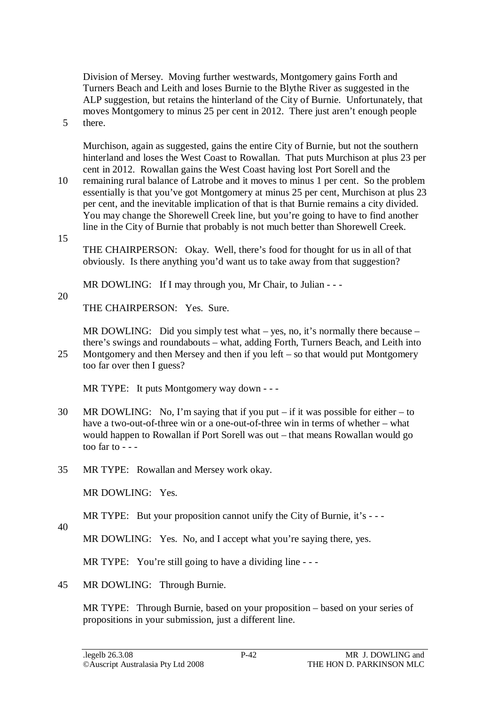Division of Mersey. Moving further westwards, Montgomery gains Forth and Turners Beach and Leith and loses Burnie to the Blythe River as suggested in the ALP suggestion, but retains the hinterland of the City of Burnie. Unfortunately, that moves Montgomery to minus 25 per cent in 2012. There just aren't enough people 5 there.

Murchison, again as suggested, gains the entire City of Burnie, but not the southern hinterland and loses the West Coast to Rowallan. That puts Murchison at plus 23 per cent in 2012. Rowallan gains the West Coast having lost Port Sorell and the

10 remaining rural balance of Latrobe and it moves to minus 1 per cent. So the problem essentially is that you've got Montgomery at minus 25 per cent, Murchison at plus 23 per cent, and the inevitable implication of that is that Burnie remains a city divided. You may change the Shorewell Creek line, but you're going to have to find another line in the City of Burnie that probably is not much better than Shorewell Creek.

15

THE CHAIRPERSON: Okay. Well, there's food for thought for us in all of that obviously. Is there anything you'd want us to take away from that suggestion?

MR DOWLING: If I may through you, Mr Chair, to Julian - - -

20

THE CHAIRPERSON: Yes. Sure.

MR DOWLING: Did you simply test what – yes, no, it's normally there because – there's swings and roundabouts – what, adding Forth, Turners Beach, and Leith into 25 Montgomery and then Mersey and then if you left – so that would put Montgomery too far over then I guess?

MR TYPE: It puts Montgomery way down - - -

- 30 MR DOWLING: No, I'm saying that if you put if it was possible for either to have a two-out-of-three win or a one-out-of-three win in terms of whether – what would happen to Rowallan if Port Sorell was out – that means Rowallan would go too far to  $- -$
- 35 MR TYPE: Rowallan and Mersey work okay.

MR DOWLING: Yes.

MR TYPE: But your proposition cannot unify the City of Burnie, it's ---

40

MR DOWLING: Yes. No, and I accept what you're saying there, yes.

MR TYPE: You're still going to have a dividing line - - -

45 MR DOWLING: Through Burnie.

MR TYPE: Through Burnie, based on your proposition – based on your series of propositions in your submission, just a different line.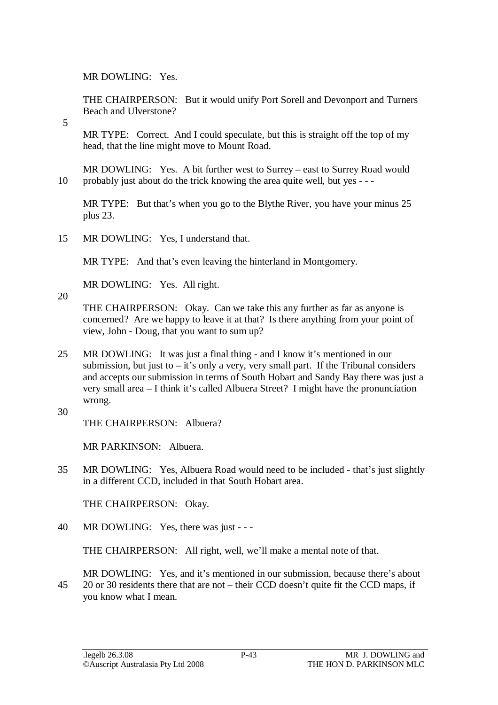MR DOWLING: Yes.

THE CHAIRPERSON: But it would unify Port Sorell and Devonport and Turners Beach and Ulverstone?

5

MR TYPE: Correct. And I could speculate, but this is straight off the top of my head, that the line might move to Mount Road.

MR DOWLING: Yes. A bit further west to Surrey – east to Surrey Road would 10 probably just about do the trick knowing the area quite well, but yes - - -

MR TYPE: But that's when you go to the Blythe River, you have your minus 25 plus 23.

15 MR DOWLING: Yes, I understand that.

MR TYPE: And that's even leaving the hinterland in Montgomery.

MR DOWLING: Yes. All right.

20

THE CHAIRPERSON: Okay. Can we take this any further as far as anyone is concerned? Are we happy to leave it at that? Is there anything from your point of view, John - Doug, that you want to sum up?

- 25 MR DOWLING: It was just a final thing and I know it's mentioned in our submission, but just to  $-$  it's only a very, very small part. If the Tribunal considers and accepts our submission in terms of South Hobart and Sandy Bay there was just a very small area – I think it's called Albuera Street? I might have the pronunciation wrong.
- 30

THE CHAIRPERSON: Albuera?

MR PARKINSON: Albuera.

35 MR DOWLING: Yes, Albuera Road would need to be included - that's just slightly in a different CCD, included in that South Hobart area.

THE CHAIRPERSON: Okay.

40 MR DOWLING: Yes, there was just - - -

THE CHAIRPERSON: All right, well, we'll make a mental note of that.

MR DOWLING: Yes, and it's mentioned in our submission, because there's about 45 20 or 30 residents there that are not – their CCD doesn't quite fit the CCD maps, if you know what I mean.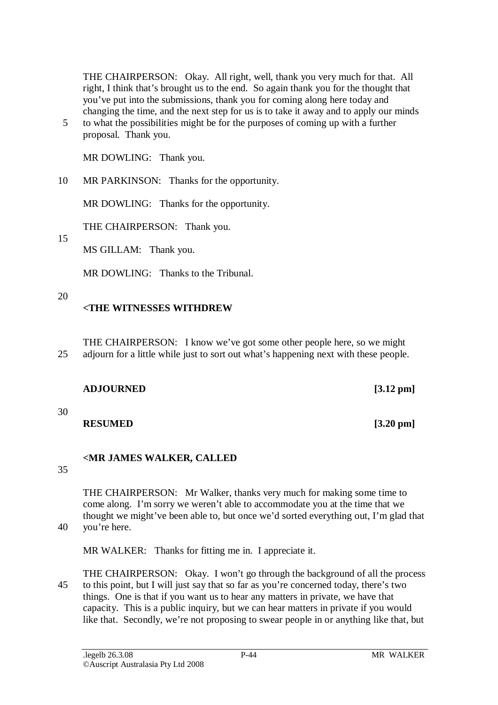THE CHAIRPERSON: Okay. All right, well, thank you very much for that. All right, I think that's brought us to the end. So again thank you for the thought that you've put into the submissions, thank you for coming along here today and changing the time, and the next step for us is to take it away and to apply our minds

5 to what the possibilities might be for the purposes of coming up with a further proposal. Thank you.

MR DOWLING: Thank you.

10 MR PARKINSON: Thanks for the opportunity.

MR DOWLING: Thanks for the opportunity.

THE CHAIRPERSON: Thank you.

15

MS GILLAM: Thank you.

MR DOWLING: Thanks to the Tribunal.

### 20

## **<THE WITNESSES WITHDREW**

THE CHAIRPERSON: I know we've got some other people here, so we might 25 adjourn for a little while just to sort out what's happening next with these people.

| <b>ADJOURNED</b> |
|------------------|
|------------------|

30

## **RESUMED** [3.20 pm]

# **<MR JAMES WALKER, CALLED**

35

THE CHAIRPERSON: Mr Walker, thanks very much for making some time to come along. I'm sorry we weren't able to accommodate you at the time that we thought we might've been able to, but once we'd sorted everything out, I'm glad that 40 you're here.

MR WALKER: Thanks for fitting me in. I appreciate it.

THE CHAIRPERSON: Okay. I won't go through the background of all the process 45 to this point, but I will just say that so far as you're concerned today, there's two things. One is that if you want us to hear any matters in private, we have that capacity. This is a public inquiry, but we can hear matters in private if you would like that. Secondly, we're not proposing to swear people in or anything like that, but

 $[3.12 \text{ pm}]$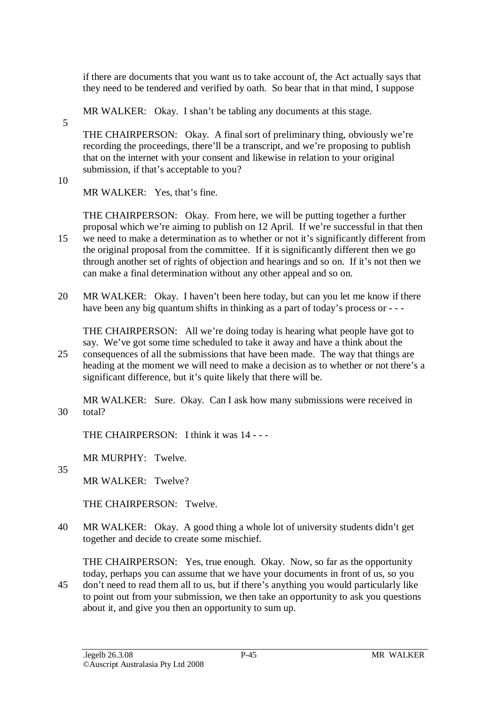if there are documents that you want us to take account of, the Act actually says that they need to be tendered and verified by oath. So bear that in that mind, I suppose

MR WALKER: Okay. I shan't be tabling any documents at this stage.

5

THE CHAIRPERSON: Okay. A final sort of preliminary thing, obviously we're recording the proceedings, there'll be a transcript, and we're proposing to publish that on the internet with your consent and likewise in relation to your original submission, if that's acceptable to you?

10

MR WALKER: Yes, that's fine.

THE CHAIRPERSON: Okay. From here, we will be putting together a further proposal which we're aiming to publish on 12 April. If we're successful in that then

- 15 we need to make a determination as to whether or not it's significantly different from the original proposal from the committee. If it is significantly different then we go through another set of rights of objection and hearings and so on. If it's not then we can make a final determination without any other appeal and so on.
- 20 MR WALKER: Okay. I haven't been here today, but can you let me know if there have been any big quantum shifts in thinking as a part of today's process or - - -

THE CHAIRPERSON: All we're doing today is hearing what people have got to say. We've got some time scheduled to take it away and have a think about the

25 consequences of all the submissions that have been made. The way that things are heading at the moment we will need to make a decision as to whether or not there's a significant difference, but it's quite likely that there will be.

MR WALKER: Sure. Okay. Can I ask how many submissions were received in 30 total?

THE CHAIRPERSON: I think it was 14 - - -

MR MURPHY: Twelve.

35

MR WALKER: Twelve?

THE CHAIRPERSON: Twelve.

40 MR WALKER: Okay. A good thing a whole lot of university students didn't get together and decide to create some mischief.

THE CHAIRPERSON: Yes, true enough. Okay. Now, so far as the opportunity today, perhaps you can assume that we have your documents in front of us, so you

45 don't need to read them all to us, but if there's anything you would particularly like to point out from your submission, we then take an opportunity to ask you questions about it, and give you then an opportunity to sum up.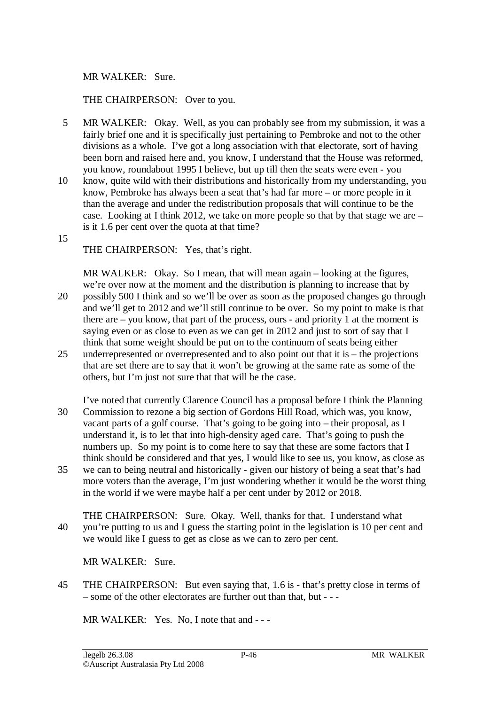#### MR WALKER: Sure.

#### THE CHAIRPERSON: Over to you.

- 5 MR WALKER: Okay. Well, as you can probably see from my submission, it was a fairly brief one and it is specifically just pertaining to Pembroke and not to the other divisions as a whole. I've got a long association with that electorate, sort of having been born and raised here and, you know, I understand that the House was reformed, you know, roundabout 1995 I believe, but up till then the seats were even - you
- 10 know, quite wild with their distributions and historically from my understanding, you know, Pembroke has always been a seat that's had far more – or more people in it than the average and under the redistribution proposals that will continue to be the case. Looking at I think 2012, we take on more people so that by that stage we are – is it 1.6 per cent over the quota at that time?
- 15

THE CHAIRPERSON: Yes, that's right.

MR WALKER: Okay. So I mean, that will mean again – looking at the figures, we're over now at the moment and the distribution is planning to increase that by 20 possibly 500 I think and so we'll be over as soon as the proposed changes go through and we'll get to 2012 and we'll still continue to be over. So my point to make is that there are – you know, that part of the process, ours - and priority 1 at the moment is saying even or as close to even as we can get in 2012 and just to sort of say that I think that some weight should be put on to the continuum of seats being either

- 25 underrepresented or overrepresented and to also point out that it is the projections that are set there are to say that it won't be growing at the same rate as some of the others, but I'm just not sure that that will be the case.
- I've noted that currently Clarence Council has a proposal before I think the Planning 30 Commission to rezone a big section of Gordons Hill Road, which was, you know, vacant parts of a golf course. That's going to be going into – their proposal, as I understand it, is to let that into high-density aged care. That's going to push the numbers up. So my point is to come here to say that these are some factors that I think should be considered and that yes, I would like to see us, you know, as close as
- 35 we can to being neutral and historically given our history of being a seat that's had more voters than the average, I'm just wondering whether it would be the worst thing in the world if we were maybe half a per cent under by 2012 or 2018.
- THE CHAIRPERSON: Sure. Okay. Well, thanks for that. I understand what 40 you're putting to us and I guess the starting point in the legislation is 10 per cent and we would like I guess to get as close as we can to zero per cent.

MR WALKER: Sure.

45 THE CHAIRPERSON: But even saying that, 1.6 is - that's pretty close in terms of – some of the other electorates are further out than that, but - - -

MR WALKER: Yes. No. I note that and ---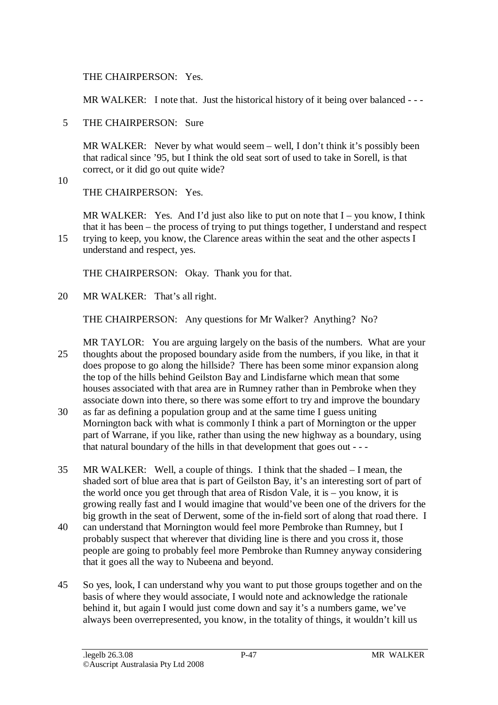THE CHAIRPERSON: Yes.

MR WALKER: I note that. Just the historical history of it being over balanced ---

5 THE CHAIRPERSON: Sure

MR WALKER: Never by what would seem – well, I don't think it's possibly been that radical since '95, but I think the old seat sort of used to take in Sorell, is that correct, or it did go out quite wide?

10

THE CHAIRPERSON: Yes.

MR WALKER: Yes. And I'd just also like to put on note that  $I - you know, I think$ that it has been – the process of trying to put things together, I understand and respect

15 trying to keep, you know, the Clarence areas within the seat and the other aspects I understand and respect, yes.

THE CHAIRPERSON: Okay. Thank you for that.

20 MR WALKER: That's all right.

THE CHAIRPERSON: Any questions for Mr Walker? Anything? No?

MR TAYLOR: You are arguing largely on the basis of the numbers. What are your 25 thoughts about the proposed boundary aside from the numbers, if you like, in that it does propose to go along the hillside? There has been some minor expansion along the top of the hills behind Geilston Bay and Lindisfarne which mean that some houses associated with that area are in Rumney rather than in Pembroke when they associate down into there, so there was some effort to try and improve the boundary

- 30 as far as defining a population group and at the same time I guess uniting Mornington back with what is commonly I think a part of Mornington or the upper part of Warrane, if you like, rather than using the new highway as a boundary, using that natural boundary of the hills in that development that goes out - - -
- 35 MR WALKER: Well, a couple of things. I think that the shaded I mean, the shaded sort of blue area that is part of Geilston Bay, it's an interesting sort of part of the world once you get through that area of Risdon Vale, it is – you know, it is growing really fast and I would imagine that would've been one of the drivers for the big growth in the seat of Derwent, some of the in-field sort of along that road there. I
- 40 can understand that Mornington would feel more Pembroke than Rumney, but I probably suspect that wherever that dividing line is there and you cross it, those people are going to probably feel more Pembroke than Rumney anyway considering that it goes all the way to Nubeena and beyond.
- 45 So yes, look, I can understand why you want to put those groups together and on the basis of where they would associate, I would note and acknowledge the rationale behind it, but again I would just come down and say it's a numbers game, we've always been overrepresented, you know, in the totality of things, it wouldn't kill us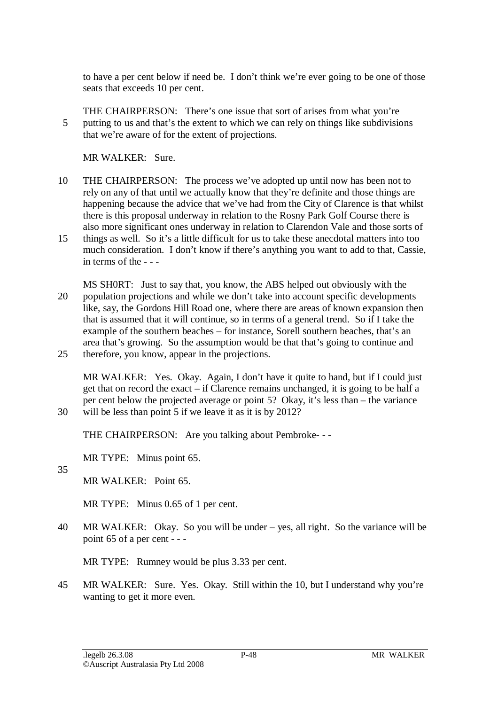to have a per cent below if need be. I don't think we're ever going to be one of those seats that exceeds 10 per cent.

THE CHAIRPERSON: There's one issue that sort of arises from what you're 5 putting to us and that's the extent to which we can rely on things like subdivisions that we're aware of for the extent of projections.

MR WALKER: Sure.

- 10 THE CHAIRPERSON: The process we've adopted up until now has been not to rely on any of that until we actually know that they're definite and those things are happening because the advice that we've had from the City of Clarence is that whilst there is this proposal underway in relation to the Rosny Park Golf Course there is also more significant ones underway in relation to Clarendon Vale and those sorts of
- 15 things as well. So it's a little difficult for us to take these anecdotal matters into too much consideration. I don't know if there's anything you want to add to that, Cassie, in terms of the - - -
- MS SH0RT: Just to say that, you know, the ABS helped out obviously with the 20 population projections and while we don't take into account specific developments like, say, the Gordons Hill Road one, where there are areas of known expansion then that is assumed that it will continue, so in terms of a general trend. So if I take the example of the southern beaches – for instance, Sorell southern beaches, that's an area that's growing. So the assumption would be that that's going to continue and 25 therefore, you know, appear in the projections.

MR WALKER: Yes. Okay. Again, I don't have it quite to hand, but if I could just get that on record the exact – if Clarence remains unchanged, it is going to be half a per cent below the projected average or point 5? Okay, it's less than – the variance 30 will be less than point 5 if we leave it as it is by 2012?

THE CHAIRPERSON: Are you talking about Pembroke- - -

MR TYPE: Minus point 65.

35

MR WALKER: Point 65.

MR TYPE: Minus 0.65 of 1 per cent.

40 MR WALKER: Okay. So you will be under – yes, all right. So the variance will be point 65 of a per cent - - -

MR TYPE: Rumney would be plus 3.33 per cent.

45 MR WALKER: Sure. Yes. Okay. Still within the 10, but I understand why you're wanting to get it more even.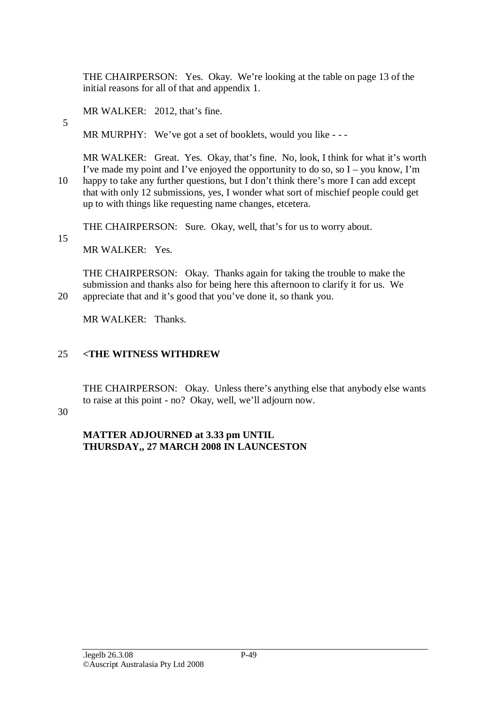THE CHAIRPERSON: Yes. Okay. We're looking at the table on page 13 of the initial reasons for all of that and appendix 1.

MR WALKER: 2012, that's fine.

MR MURPHY: We've got a set of booklets, would you like ---

MR WALKER: Great. Yes. Okay, that's fine. No, look, I think for what it's worth I've made my point and I've enjoyed the opportunity to do so, so  $I -$ you know, I'm 10 happy to take any further questions, but I don't think there's more I can add except that with only 12 submissions, yes, I wonder what sort of mischief people could get up to with things like requesting name changes, etcetera.

THE CHAIRPERSON: Sure. Okay, well, that's for us to worry about.

15

5

MR WALKER: Yes.

THE CHAIRPERSON: Okay. Thanks again for taking the trouble to make the submission and thanks also for being here this afternoon to clarify it for us. We 20 appreciate that and it's good that you've done it, so thank you.

MR WALKER: Thanks.

# 25 **<THE WITNESS WITHDREW**

THE CHAIRPERSON: Okay. Unless there's anything else that anybody else wants to raise at this point - no? Okay, well, we'll adjourn now.

30

# **MATTER ADJOURNED at 3.33 pm UNTIL THURSDAY,, 27 MARCH 2008 IN LAUNCESTON**